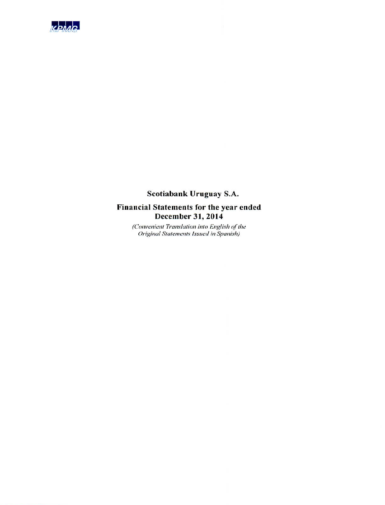

# Scotiabank Uruguay S.A.

## Financial Statements for the year ended December 31, 2014

(Convenient Translation into English of the Original Statements Issued in Spanish)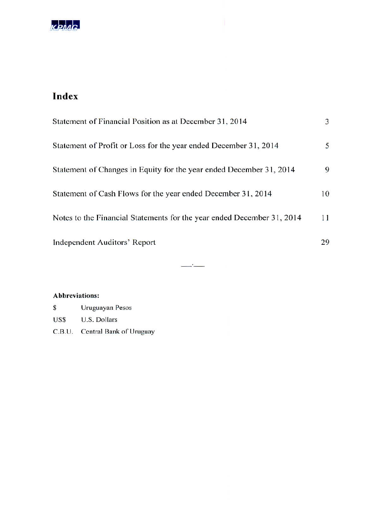

# Index

| Statement of Financial Position as at December 31, 2014                | 3  |
|------------------------------------------------------------------------|----|
| Statement of Profit or Loss for the year ended December 31, 2014       | 5. |
| Statement of Changes in Equity for the year ended December 31, 2014    | 9  |
| Statement of Cash Flows for the year ended December 31, 2014           | 10 |
| Notes to the Financial Statements for the year ended December 31, 2014 | 11 |
| <b>Independent Auditors' Report</b>                                    | 29 |

 $\sim$   $\sim$   $\sim$ 

#### **Abbreviations:**

| \$     | Uruguayan Pesos         |
|--------|-------------------------|
| US\$   | U.S. Dollars            |
| C.B.U. | Central Bank of Uruguay |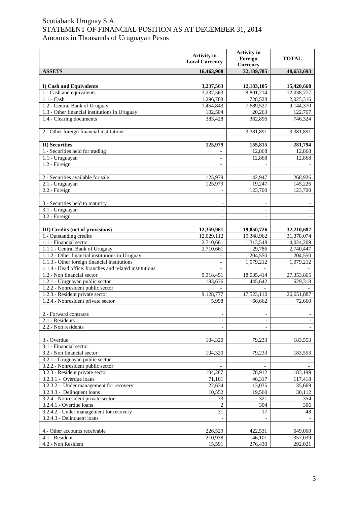## Scotiabank Uruguay S.A. STATEMENT OF FINANCIAL POSITION AS AT DECEMBER 31, 2014 Amounts in Thousands of Uruguayan Pesos

|                                                                    | <b>Activity</b> in<br><b>Local Currency</b> | <b>Activity</b> in<br>Foreign<br><b>Currency</b> | <b>TOTAL</b>             |
|--------------------------------------------------------------------|---------------------------------------------|--------------------------------------------------|--------------------------|
| <b>ASSETS</b>                                                      | 16,463,908                                  | 32,189,785                                       | 48,653,693               |
|                                                                    |                                             |                                                  |                          |
| I) Cash and Equivalents                                            | 3,237,563                                   | 12,183,105                                       | 15,420,668               |
| 1.- Cash and equivalents                                           | 3,237,563                                   | 8,801,214                                        | 12,038,777               |
| 1.1.- Cash                                                         | 1,296,788                                   | 728,528                                          | 2,025,316                |
| 1.2.- Central Bank of Uruguay                                      | 1,454,843                                   | 7,689,527                                        | 9,144,370                |
| 1.3.- Other financial institutions in Uruguay                      | 102,504                                     | 20,263                                           | 122,767                  |
| 1.4.- Clearing documents                                           | 383,428                                     | 362,896                                          | 746,324                  |
|                                                                    |                                             |                                                  |                          |
| 2.- Other foreign financial institutions                           |                                             | 3,381,891                                        | 3,381,891                |
|                                                                    |                                             |                                                  |                          |
| <b>II)</b> Securities                                              | 125,979                                     | 155,815                                          | 281,794                  |
| 1.- Securities held for trading                                    |                                             | 12,868                                           | 12,868                   |
| 1.1.- Uruguayan                                                    | $\blacksquare$                              | 12,868                                           | 12,868                   |
| 1.2.- Foreign                                                      | $\overline{\phantom{a}}$                    |                                                  |                          |
|                                                                    |                                             |                                                  |                          |
| 2.- Securities available for sale                                  | 125,979                                     | 142,947                                          | 268,926                  |
| $2.1 - Uruguayan$                                                  | 125,979                                     | 19,247                                           | 145,226                  |
| 2.2.- Foreign                                                      |                                             | 123,700                                          | 123,700                  |
|                                                                    |                                             |                                                  |                          |
| 3.- Securities held to maturity                                    | $\overline{\phantom{a}}$                    | $\overline{\phantom{a}}$                         |                          |
| 3.1.- Uruguayan                                                    | $\overline{a}$                              |                                                  |                          |
| 3.2.- Foreign                                                      |                                             |                                                  |                          |
| <b>III</b> ) Credits (net of provisions)                           |                                             |                                                  |                          |
| 1.- Outstanding credits                                            | 12,359,961<br>12,029,112                    | 19,850,726<br>19,348,962                         | 32,210,687<br>31,378,074 |
| 1.1.- Financial sector                                             | 2,710,661                                   | 1,313,548                                        | 4,024,209                |
| 1.1.1.- Central Bank of Uruguay                                    | 2,710,661                                   | 29,786                                           | 2,740,447                |
| 1.1.2.- Other financial institutions in Uruguay                    |                                             | 204,550                                          | 204,550                  |
| 1.1.3.- Other foreign financial institutions                       | $\overline{\phantom{a}}$                    | 1,079,212                                        | 1,079,212                |
| 1.1.4.- Head office. branches and related institutions             |                                             |                                                  |                          |
| 1.2.- Non financial sector                                         | 9,318,451                                   | 18,035,414                                       | 27,353,865               |
| 1.2.1.- Uruguayan public sector                                    | 183,676                                     | 445,642                                          | 629,318                  |
| 1.2.2.- Nonresident public sector                                  |                                             |                                                  |                          |
| 1.2.3.- Resident private sector                                    | 9,128,777                                   | 17,523,110                                       | 26,651,887               |
| 1.2.4.- Nonresident private sector                                 | 5,998                                       | 66,662                                           | 72,660                   |
|                                                                    |                                             |                                                  |                          |
| 2.- Forward contracts                                              | $\blacksquare$                              | $\overline{\phantom{a}}$                         | $\overline{\phantom{a}}$ |
| 2.1.- Residents                                                    |                                             |                                                  |                          |
| 2.2.- Non residents                                                |                                             |                                                  |                          |
|                                                                    |                                             |                                                  |                          |
| 3.- Overdue                                                        | 104,320                                     | 79,233                                           | 183,553                  |
| 3.1.- Financial sector                                             |                                             |                                                  |                          |
| 3.2.- Non financial sector                                         | 104,320                                     | 79,233                                           | 183,553                  |
| 3.2.1.- Uruguayan public sector                                    |                                             | $\overline{\phantom{a}}$                         |                          |
| 3.2.2.- Nonresident public sector                                  |                                             |                                                  |                          |
| 3.2.3.- Resident private sector                                    | 104,287                                     | 78,912                                           | 183,199                  |
| 3.2.3.1.- Overdue loans<br>3.2.3.2.- Under management for recovery | 71,101<br>22,634                            | 46,317                                           | 117,418                  |
| 3.2.3.3.- Delinquent loans                                         | 10,552                                      | 13,035<br>19,560                                 | 35,669<br>30,112         |
| 3.2.4.- Nonresident private sector                                 | 33                                          | 321                                              | 354                      |
| 3.2.4.1.- Overdue loans                                            | 2                                           | 304                                              | 306                      |
| 3.2.4.2.- Under management for recovery                            | 31                                          | 17                                               | 48                       |
| 3.2.4.3.- Delinquent loans                                         |                                             |                                                  |                          |
|                                                                    |                                             |                                                  |                          |
| 4.- Other accounts receivable                                      | 226,529                                     | 422,531                                          | 649,060                  |
| 4.1.- Resident                                                     | 210,938                                     | 146,101                                          | 357,039                  |
| 4.2.- Non Resident                                                 | 15,591                                      | 276,430                                          | 292,021                  |
|                                                                    |                                             |                                                  |                          |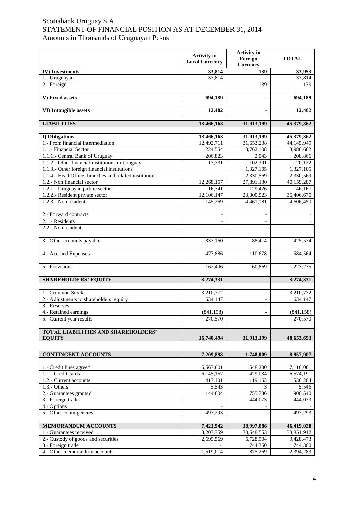## Scotiabank Uruguay S.A. STATEMENT OF FINANCIAL POSITION AS AT DECEMBER 31, 2014 Amounts in Thousands of Uruguayan Pesos

|                                                        | <b>Activity</b> in<br><b>Local Currency</b> | <b>Activity</b> in<br>Foreign<br><b>Currency</b> | <b>TOTAL</b> |
|--------------------------------------------------------|---------------------------------------------|--------------------------------------------------|--------------|
| <b>IV)</b> Investments                                 | 33,814                                      | 139                                              | 33,953       |
| 1.- Uruguayan                                          | 33,814                                      |                                                  | 33,814       |
| 2.- Foreign                                            | $\blacksquare$                              | 139                                              | 139          |
|                                                        |                                             |                                                  |              |
| V) Fixed assets                                        | 694,189                                     |                                                  | 694,189      |
| VI) Intangible assets                                  | 12,402                                      | $\blacksquare$                                   | 12,402       |
| <b>LIABILITIES</b>                                     | 13,466,163                                  | 31,913,199                                       | 45,379,362   |
| I) Obligations                                         | 13,466,163                                  | 31,913,199                                       | 45,379,362   |
| 1.- From financial intermediation                      | 12,492,711                                  | 31,653,238                                       | 44,145,949   |
| 1.1.- Financial Sector                                 | 224,554                                     | 3,762,108                                        | 3,986,662    |
| 1.1.1.- Central Bank of Uruguay                        | 206,823                                     | 2,043                                            | 208,866      |
| 1.1.2.- Other financial institutions in Uruguay        | 17,731                                      | 102,391                                          | 120,122      |
| 1.1.3. Other foreign financial institutions            |                                             | 1,327,105                                        | 1,327,105    |
| 1.1.4.- Head Office. branches and related institutions |                                             | 2,330,569                                        | 2,330,569    |
| 1.2.- Non financial sector                             | 12,268,157                                  | 27,891,130                                       | 40,159,287   |
| 1.2.1.- Uruguayan public sector                        | 16,741                                      | 129,426                                          | 146,167      |
| 1.2.2.- Resident private sector                        | 12,106,147                                  | 23,300,523                                       | 35,406,670   |
| 1.2.3.- Non residents                                  | 145,269                                     | 4,461,181                                        | 4,606,450    |
|                                                        |                                             |                                                  |              |
| 2.- Forward contracts                                  | $\overline{\phantom{a}}$                    | $\overline{\phantom{0}}$                         |              |
| 2.1.- Residents                                        |                                             |                                                  |              |
| 2.2.- Non residents                                    |                                             |                                                  |              |
| 3.- Other accounts payable                             | 337,160                                     | 88,414                                           | 425,574      |
| 4.- Accrued Expenses                                   | 473,886                                     | 110,678                                          | 584,564      |
| 5.- Provisions                                         | 162,406                                     | 60,869                                           | 223,275      |
| <b>SHAREHOLDERS' EQUITY</b>                            | 3,274,331                                   | $\blacksquare$                                   | 3,274,331    |
| 1.- Common Stock                                       | 3,210,772                                   | $\overline{\phantom{a}}$                         | 3,210,772    |
| 2.- Adjustments to shareholders' equity                | 634,147                                     |                                                  | 634,147      |
| 3.- Reserves                                           |                                             |                                                  |              |
| 4.- Retained earnings                                  | (841, 158)                                  | $\overline{\phantom{a}}$                         | (841, 158)   |
| 5.- Current year results                               | 270,570                                     | $\overline{\phantom{0}}$                         | 270,570      |
| TOTAL LIABILITIES AND SHAREHOLDERS'<br><b>EQUITY</b>   | 16,740,494                                  | 31,913,199                                       | 48,653,693   |
|                                                        |                                             |                                                  |              |
| <b>CONTINGENT ACCOUNTS</b>                             | 7,209,898                                   | 1,748,009                                        | 8,957,907    |
|                                                        |                                             |                                                  |              |
| 1.- Credit lines agreed                                | 6,567,801                                   | 548,200                                          | 7,116,001    |
| 1.1.- Credit cards                                     | 6,145,157                                   | 429,034                                          | 6,574,191    |
| 1.2.- Current accounts                                 | 417,101                                     | 119,163                                          | 536,264      |
| $1.3 - Others$                                         | 5,543                                       | 3                                                | 5,546        |
| 2.- Guarantees granted                                 | 144,804                                     | 755,736                                          | 900,540      |
| 3.- Foreign trade                                      |                                             | 444,073                                          | 444,073      |
| 4.- Options                                            |                                             |                                                  |              |
| 5.- Other contingencies                                | 497,293                                     |                                                  | 497,293      |
| <b>MEMORANDUM ACCOUNTS</b>                             | 7,421,942                                   | 38,997,086                                       | 46,419,028   |
| 1.- Guarantees received                                | 3,203,359                                   | 30,648,553                                       | 33,851,912   |
| 2.- Custody of goods and securities                    | 2,699,569                                   | 6,728,904                                        | 9,428,473    |
| 3.- Foreign trade                                      |                                             | 744,360                                          | 744,360      |
| 4.- Other memorandum accounts                          | 1,519,014                                   | 875,269                                          | 2,394,283    |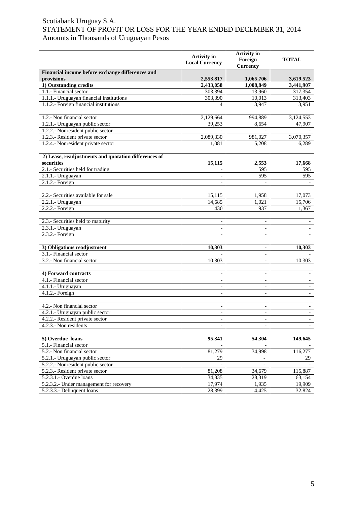|                                                      | <b>Activity</b> in<br><b>Local Currency</b> | <b>Activity</b> in<br>Foreign<br><b>Currency</b> | <b>TOTAL</b>             |
|------------------------------------------------------|---------------------------------------------|--------------------------------------------------|--------------------------|
| Financial income before exchange differences and     |                                             |                                                  |                          |
| provisions                                           | 2,553,817                                   | 1,065,706                                        | 3,619,523                |
| 1) Outstanding credits                               | 2,433,058                                   | 1,008,849                                        | 3,441,907                |
| 1.1.- Financial sector                               | 303,394                                     | 13,960                                           | 317,354                  |
| 1.1.1.- Uruguayan financial institutions             | 303,390                                     | 10,013                                           | 313,403                  |
| 1.1.2.- Foreign financial institutions               | $\overline{4}$                              | 3,947                                            | 3,951                    |
|                                                      |                                             |                                                  |                          |
| 1.2.- Non financial sector                           | 2,129,664                                   | 994,889                                          | 3,124,553                |
| 1.2.1.- Uruguayan public sector                      | 39,253                                      | 8,654                                            | 47,907                   |
| 1.2.2.- Nonresident public sector                    |                                             |                                                  |                          |
| 1.2.3.- Resident private sector                      | 2,089,330                                   | 981,027                                          | 3,070,357                |
| 1.2.4.- Nonresident private sector                   | 1,081                                       | 5,208                                            | 6,289                    |
|                                                      |                                             |                                                  |                          |
| 2) Lease, readjustments and quotation differences of |                                             |                                                  |                          |
| securities                                           | 15,115                                      | 2,553                                            | 17,668                   |
| 2.1.- Securities held for trading                    |                                             | 595                                              | 595                      |
| 2.1.1.- Uruguayan                                    | $\overline{\phantom{a}}$                    | 595                                              | 595                      |
| $2.1.2.$ - Foreign                                   |                                             |                                                  |                          |
|                                                      |                                             |                                                  |                          |
| 2.2.- Securities available for sale                  | 15,115                                      | 1,958                                            | 17,073                   |
| 2.2.1.- Uruguayan                                    | 14,685                                      | 1,021                                            | 15,706                   |
| 2.2.2.- Foreign                                      | 430                                         | 937                                              | 1,367                    |
|                                                      |                                             |                                                  |                          |
| 2.3.- Securities held to maturity                    |                                             |                                                  |                          |
| 2.3.1.- Uruguayan                                    |                                             | $\overline{\phantom{a}}$                         |                          |
| $2.3.2.$ - Foreign                                   |                                             | $\overline{a}$                                   |                          |
|                                                      |                                             |                                                  |                          |
| 3) Obligations readjustment                          | 10,303                                      | $\overline{\phantom{a}}$                         | 10,303                   |
| 3.1.- Financial sector                               |                                             | $\overline{\phantom{a}}$                         |                          |
| 3.2.- Non financial sector                           | 10,303                                      | $\overline{\phantom{a}}$                         | 10,303                   |
|                                                      |                                             |                                                  |                          |
| 4) Forward contracts                                 | $\blacksquare$                              | $\blacksquare$                                   | $\overline{\phantom{a}}$ |
| 4.1.- Financial sector                               | $\overline{\phantom{a}}$                    | $\overline{\phantom{a}}$                         | $\overline{\phantom{a}}$ |
| 4.1.1.- Uruguayan                                    | $\sim$                                      | $\blacksquare$                                   | $\overline{\phantom{a}}$ |
| 4.1.2.- Foreign                                      | $\overline{\phantom{0}}$                    | $\overline{a}$                                   | $\overline{\phantom{a}}$ |
|                                                      |                                             |                                                  |                          |
| 4.2.- Non financial sector                           | $\blacksquare$                              |                                                  |                          |
| 4.2.1.- Uruguayan public sector                      | $\overline{\phantom{a}}$                    | $\overline{\phantom{a}}$                         | $\overline{\phantom{a}}$ |
| 4.2.2. Resident private sector                       | $\overline{\phantom{a}}$                    |                                                  |                          |
| 4.2.3.- Non residents                                |                                             |                                                  |                          |
|                                                      |                                             |                                                  |                          |
| 5) Overdue loans                                     | 95,341                                      | 54,304                                           | 149,645                  |
| 5.1.- Financial sector                               |                                             |                                                  |                          |
| 5.2.- Non financial sector                           | 81,279                                      | 34,998                                           | 116,277                  |
| 5.2.1.- Uruguayan public sector                      | 29                                          |                                                  | 29                       |
| 5.2.2.- Nonresident public sector                    |                                             |                                                  |                          |
| 5.2.3.- Resident private sector                      | 81,208                                      | 34,679                                           | 115,887                  |
| 5.2.3.1.- Overdue loans                              | 34,835                                      | 28,319                                           | 63,154                   |
| 5.2.3.2.- Under management for recovery              | 17,974                                      | 1,935                                            | 19,909                   |
| 5.2.3.3.- Delinquent loans                           | 28,399                                      | 4,425                                            | 32,824                   |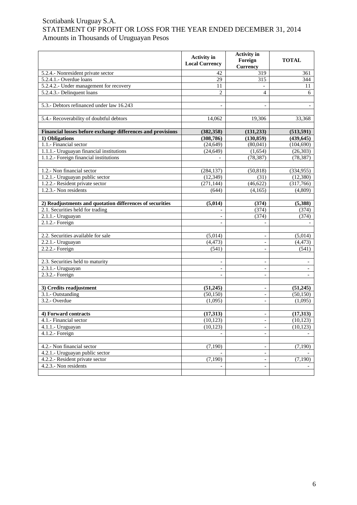|                                                             | <b>Activity</b> in<br><b>Local Currency</b> | <b>Activity</b> in<br>Foreign<br><b>Currency</b> | <b>TOTAL</b>             |
|-------------------------------------------------------------|---------------------------------------------|--------------------------------------------------|--------------------------|
| 5.2.4.- Nonresident private sector                          | 42                                          | 319                                              | 361                      |
| 5.2.4.1.- Overdue loans                                     | 29                                          | 315                                              | 344                      |
| 5.2.4.2.- Under management for recovery                     | 11                                          |                                                  | 11                       |
| 5.2.4.3.- Delinquent loans                                  | $\overline{c}$                              | $\overline{4}$                                   | 6                        |
|                                                             |                                             |                                                  |                          |
| 5.3.- Debtors refinanced under law 16.243                   |                                             |                                                  |                          |
| 5.4.- Recoverability of doubtful debtors                    | 14.062                                      | 19,306                                           | 33,368                   |
|                                                             |                                             |                                                  |                          |
| Financial losses before exchange differences and provisions | (382, 358)                                  | (131, 233)                                       | (513, 591)               |
| 1) Obligations                                              | (308, 786)                                  | (130, 859)                                       | (439, 645)               |
| 1.1.- Financial sector                                      | (24, 649)                                   | (80,041)                                         | (104, 690)               |
| 1.1.1.- Uruguayan financial institutions                    | (24, 649)                                   | (1,654)                                          | (26,303)                 |
| 1.1.2.- Foreign financial institutions                      |                                             | (78, 387)                                        | (78, 387)                |
|                                                             |                                             |                                                  |                          |
| 1.2.- Non financial sector                                  | (284, 137)                                  | (50, 818)                                        | (334, 955)               |
| 1.2.1.- Uruguayan public sector                             | (12, 349)                                   | (31)                                             | (12, 380)                |
| 1.2.2.- Resident private sector                             | (271, 144)                                  | (46, 622)                                        | (317,766)                |
| 1.2.3.- Non residents                                       | (644)                                       | (4,165)                                          | (4,809)                  |
|                                                             |                                             |                                                  |                          |
| 2) Readjustments and quotation differences of securities    | (5,014)                                     | (374)                                            | (5,388)                  |
| 2.1. Securities held for trading                            |                                             | (374)                                            | (374)                    |
| 2.1.1.- Uruguayan                                           | $\blacksquare$                              | (374)                                            | (374)                    |
| 2.1.2.- Foreign                                             |                                             |                                                  |                          |
|                                                             |                                             |                                                  |                          |
| 2.2. Securities available for sale                          | (5,014)                                     | $\qquad \qquad \blacksquare$                     | (5,014)                  |
| 2.2.1.- Uruguayan                                           | (4, 473)                                    | $\overline{a}$                                   | (4, 473)                 |
| $2.2.2.$ - Foreign                                          | (541)                                       | $\overline{\phantom{a}}$                         | (541)                    |
|                                                             |                                             |                                                  |                          |
| 2.3. Securities held to maturity                            |                                             | $\qquad \qquad \blacksquare$                     |                          |
| 2.3.1.- Uruguayan                                           |                                             | $\blacksquare$                                   | $\overline{\phantom{a}}$ |
| 2.3.2.- Foreign                                             |                                             |                                                  |                          |
| 3) Credits readjustment                                     |                                             |                                                  |                          |
| 3.1.- Outstanding                                           | (51,245)<br>(50, 150)                       | $\qquad \qquad \blacksquare$<br>$\frac{1}{2}$    | (51,245)<br>(50, 150)    |
| 3.2.- Overdue                                               | (1,095)                                     | $\blacksquare$                                   | (1,095)                  |
|                                                             |                                             |                                                  |                          |
| 4) Forward contracts                                        | (17,313)                                    | $\overline{\phantom{a}}$                         | (17, 313)                |
| 4.1.- Financial sector                                      | (10, 123)                                   | $\overline{\phantom{a}}$                         | (10, 123)                |
| 4.1.1.- Uruguayan                                           | (10, 123)                                   | $\overline{a}$                                   | (10, 123)                |
| 4.1.2.- Foreign                                             |                                             | $\blacksquare$                                   |                          |
|                                                             |                                             |                                                  |                          |
| 4.2.- Non financial sector                                  | (7,190)                                     | $\blacksquare$                                   | (7,190)                  |
| 4.2.1.- Uruguayan public sector                             |                                             | $\overline{\phantom{a}}$                         |                          |
| 4.2.2.- Resident private sector                             | (7,190)                                     | $\blacksquare$                                   | (7,190)                  |
| 4.2.3.- Non residents                                       |                                             | $\overline{a}$                                   |                          |
|                                                             |                                             |                                                  |                          |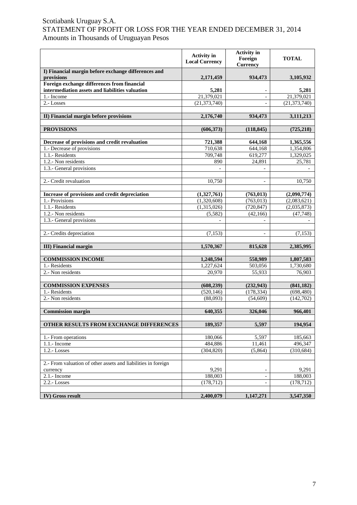|                                                                   | <b>Activity</b> in<br><b>Local Currency</b> | <b>Activity</b> in<br>Foreign<br><b>Currency</b> | <b>TOTAL</b>           |
|-------------------------------------------------------------------|---------------------------------------------|--------------------------------------------------|------------------------|
| I) Financial margin before exchange differences and<br>provisions | 2,171,459                                   | 934,473                                          | 3,105,932              |
| Foreign exchange differences from financial                       |                                             |                                                  |                        |
| intermediation assets and liabilities valuation                   | 5,281                                       |                                                  | 5,281                  |
| 1.- Income                                                        | 21,379,021                                  |                                                  | 21,379,021             |
| 2.-Losses                                                         | (21, 373, 740)                              | $\overline{\phantom{a}}$                         | (21, 373, 740)         |
|                                                                   |                                             |                                                  |                        |
| II) Financial margin before provisions                            | 2,176,740                                   | 934,473                                          | 3,111,213              |
|                                                                   |                                             |                                                  |                        |
| <b>PROVISIONS</b>                                                 | (606, 373)                                  | (118, 845)                                       | (725, 218)             |
|                                                                   |                                             |                                                  |                        |
| Decrease of provisions and credit revaluation                     | 721,388                                     | 644,168                                          | 1,365,556              |
| 1.- Decrease of provisions                                        | 710,638                                     | 644,168                                          | 1,354,806              |
| 1.1.- Residents                                                   | 709,748                                     | 619,277                                          | 1,329,025              |
| 1.2.- Non residents                                               | 890                                         | 24,891                                           | 25,781                 |
| 1.3.- General provisions                                          |                                             | $\blacksquare$                                   |                        |
|                                                                   |                                             |                                                  |                        |
| 2.- Credit revaluation                                            | 10,750                                      | $\overline{\phantom{a}}$                         | 10,750                 |
|                                                                   |                                             |                                                  |                        |
| Increase of provisions and credit depreciation                    | (1,327,761)                                 | (763, 013)                                       | (2,090,774)            |
| 1.- Provisions                                                    | (1,320,608)                                 | (763, 013)                                       | (2,083,621)            |
| 1.1.- Residents                                                   | (1,315,026)                                 | (720, 847)                                       | (2,035,873)            |
| 1.2.- Non residents                                               | (5,582)                                     | (42, 166)                                        | (47,748)               |
| 1.3.- General provisions                                          |                                             |                                                  |                        |
|                                                                   |                                             |                                                  |                        |
| 2.- Credits depreciation                                          | (7, 153)                                    |                                                  | (7, 153)               |
|                                                                   |                                             |                                                  |                        |
| <b>III</b> ) Financial margin                                     | 1,570,367                                   | 815,628                                          | 2,385,995              |
|                                                                   |                                             |                                                  |                        |
| <b>COMMISSION INCOME</b><br>1.- Residents                         | 1,248,594<br>1,227,624                      | 558,989                                          | 1,807,583<br>1,730,680 |
| 2.- Non residents                                                 | 20,970                                      | 503,056<br>55,933                                | 76,903                 |
|                                                                   |                                             |                                                  |                        |
| <b>COMMISSION EXPENSES</b>                                        | (608, 239)                                  | (232, 943)                                       | (841, 182)             |
| 1.- Residents                                                     | (520, 146)                                  | (178, 334)                                       | (698, 480)             |
| 2.- Non residents                                                 | (88,093)                                    | (54, 609)                                        | (142, 702)             |
|                                                                   |                                             |                                                  |                        |
| <b>Commission margin</b>                                          | 640,355                                     | 326,046                                          | 966,401                |
|                                                                   |                                             |                                                  |                        |
| OTHER RESULTS FROM EXCHANGE DIFFERENCES                           | 189,357                                     | 5,597                                            | 194,954                |
|                                                                   |                                             |                                                  |                        |
| 1.- From operations                                               | 180,066                                     | 5,597                                            | 185,663                |
| 1.1.- Income                                                      | 484,886                                     | 11,461                                           | 496,347                |
| 1.2.-Losses                                                       | (304, 820)                                  | (5,864)                                          | (310, 684)             |
|                                                                   |                                             |                                                  |                        |
| 2.- From valuation of other assets and liabilities in foreign     |                                             |                                                  |                        |
| currency                                                          | 9,291                                       |                                                  | 9,291                  |
| 2.1.- Income                                                      | 188,003                                     | $\overline{\phantom{a}}$                         | 188,003                |
| 2.2.-Losses                                                       | (178, 712)                                  | $\overline{\phantom{a}}$                         | (178, 712)             |
|                                                                   |                                             |                                                  |                        |
| IV) Gross result                                                  | 2,400,079                                   | 1,147,271                                        | 3,547,350              |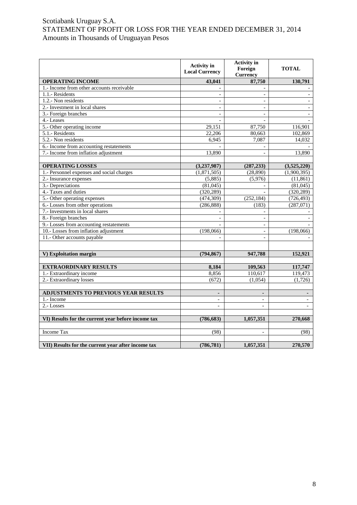|                                                    | <b>Activity</b> in<br><b>Local Currency</b> | <b>Activity</b> in<br>Foreign<br><b>Currency</b> | <b>TOTAL</b>   |
|----------------------------------------------------|---------------------------------------------|--------------------------------------------------|----------------|
| <b>OPERATING INCOME</b>                            | 43,041                                      | 87,750                                           | 130,791        |
| 1.- Income from other accounts receivable          |                                             |                                                  |                |
| 1.1.- Residents                                    |                                             | $\overline{a}$                                   |                |
| 1.2.- Non residents                                |                                             |                                                  |                |
| 2.- Investment in local shares                     |                                             |                                                  |                |
| 3.- Foreign branches                               |                                             | $\overline{a}$                                   |                |
| 4.-Leases                                          |                                             |                                                  |                |
| 5.- Other operating income                         | 29,151                                      | 87,750                                           | 116,901        |
| 5.1.- Residents                                    | 22,206                                      | 80,663                                           | 102,869        |
| 5.2.- Non residents                                | 6,945                                       | 7,087                                            | 14,032         |
| 6.- Income from accounting restatements            |                                             |                                                  |                |
| 7.- Income from inflation adjustment               | 13,890                                      | $\overline{a}$                                   | 13,890         |
|                                                    |                                             |                                                  |                |
| <b>OPERATING LOSSES</b>                            | (3,237,987)                                 | (287, 233)                                       | (3,525,220)    |
| 1.- Personnel expenses and social charges          | (1,871,505)                                 | (28, 890)                                        | (1,900,395)    |
| 2.- Insurance expenses                             | (5,885)                                     | (5,976)                                          | (11, 861)      |
| 3.- Depreciations                                  | (81,045)                                    |                                                  | (81,045)       |
| 4.- Taxes and duties                               | (320, 289)                                  |                                                  | (320, 289)     |
| 5.- Other operating expenses                       | (474, 309)                                  | (252, 184)                                       | (726, 493)     |
| 6.- Losses from other operations                   | (286, 888)                                  | (183)                                            | (287,071)      |
| 7.- Investments in local shares                    |                                             | $\overline{a}$                                   |                |
| 8.- Foreign branches                               | $\overline{\phantom{a}}$                    |                                                  |                |
| 9.- Losses from accounting restatements            |                                             |                                                  |                |
| 10.- Losses from inflation adjustment              | (198,066)                                   | $\blacksquare$                                   | (198,066)      |
| 11.- Other accounts payable                        |                                             | $\overline{\phantom{a}}$                         |                |
|                                                    |                                             |                                                  |                |
| V) Exploitation margin                             | (794, 867)                                  | 947,788                                          | 152,921        |
|                                                    |                                             |                                                  |                |
| <b>EXTRAORDINARY RESULTS</b>                       | 8,184                                       | 109,563                                          | 117,747        |
| 1.- Extraordinary income                           | 8,856                                       | 110,617                                          | 119,473        |
| 2.- Extraordinary losses                           | (672)                                       | (1,054)                                          | (1,726)        |
|                                                    |                                             |                                                  |                |
| ADJUSTMENTS TO PREVIOUS YEAR RESULTS               | $\blacksquare$                              | $\blacksquare$                                   | $\blacksquare$ |
| 1.- Income                                         | $\equiv$                                    | $\overline{\phantom{a}}$                         |                |
| 2.-Losses                                          | $\overline{a}$                              |                                                  |                |
|                                                    |                                             |                                                  |                |
| VI) Results for the current year before income tax | (786, 683)                                  | 1,057,351                                        | 270,668        |
|                                                    |                                             |                                                  |                |
| <b>Income Tax</b>                                  | (98)                                        | $\overline{\phantom{a}}$                         | (98)           |
|                                                    |                                             |                                                  |                |
| VII) Results for the current year after income tax | (786, 781)                                  | 1,057,351                                        | 270,570        |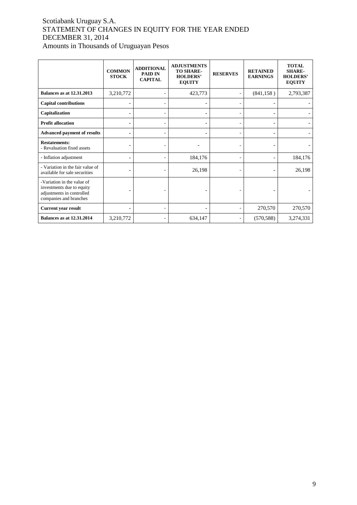## Scotiabank Uruguay S.A. STATEMENT OF CHANGES IN EQUITY FOR THE YEAR ENDED DECEMBER 31, 2014 Amounts in Thousands of Uruguayan Pesos

|                                                                                                                | <b>COMMON</b><br><b>STOCK</b> | <b>ADDITIONAL</b><br><b>PAID IN</b><br><b>CAPITAL</b> | <b>ADJUSTMENTS</b><br><b>TO SHARE-</b><br><b>HOLDERS'</b><br><b>EQUITY</b> | <b>RESERVES</b> | <b>RETAINED</b><br><b>EARNINGS</b> | <b>TOTAL</b><br><b>SHARE-</b><br><b>HOLDERS'</b><br><b>EQUITY</b> |
|----------------------------------------------------------------------------------------------------------------|-------------------------------|-------------------------------------------------------|----------------------------------------------------------------------------|-----------------|------------------------------------|-------------------------------------------------------------------|
| <b>Balances as at 12.31.2013</b>                                                                               | 3,210,772                     |                                                       | 423,773                                                                    |                 | (841, 158)                         | 2,793,387                                                         |
| <b>Capital contributions</b>                                                                                   |                               |                                                       |                                                                            |                 |                                    |                                                                   |
| Capitalization                                                                                                 |                               |                                                       |                                                                            |                 |                                    |                                                                   |
| <b>Profit allocation</b>                                                                                       |                               | ٠                                                     |                                                                            |                 |                                    |                                                                   |
| <b>Advanced payment of results</b>                                                                             |                               |                                                       |                                                                            |                 |                                    |                                                                   |
| <b>Restatements:</b><br>- Revaluation fixed assets                                                             |                               |                                                       |                                                                            |                 |                                    |                                                                   |
| - Inflation adjustment                                                                                         |                               | ٠                                                     | 184,176                                                                    |                 |                                    | 184,176                                                           |
| - Variation in the fair value of<br>available for sale securities                                              |                               |                                                       | 26,198                                                                     |                 |                                    | 26,198                                                            |
| -Variation in the value of<br>investments due to equity<br>adjustments in controlled<br>companies and branches |                               |                                                       |                                                                            |                 |                                    |                                                                   |
| <b>Current year result</b>                                                                                     |                               |                                                       |                                                                            |                 | 270,570                            | 270,570                                                           |
| <b>Balances as at 12.31.2014</b>                                                                               | 3,210,772                     | ٠                                                     | 634,147                                                                    |                 | (570, 588)                         | 3,274,331                                                         |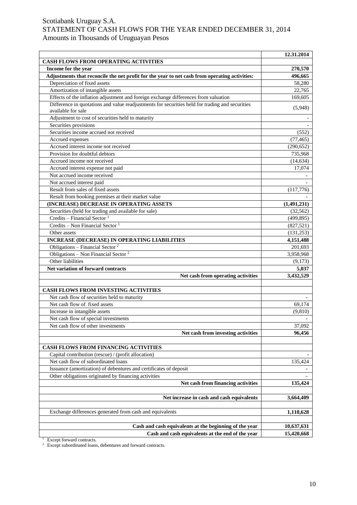|                                                                                                                       | 12.31.2014              |
|-----------------------------------------------------------------------------------------------------------------------|-------------------------|
| <b>CASH FLOWS FROM OPERATING ACTIVITIES</b>                                                                           |                         |
| Income for the year                                                                                                   | 270,570                 |
| Adjustments that reconcile the net profit for the year to net cash from operating activities:                         | 496,665                 |
| Depreciation of fixed assets                                                                                          | 58,280                  |
| Amortization of intangible assets                                                                                     | 22,765                  |
| Effects of the inflation adjustment and foreign exchange differences from valuation                                   | 169,605                 |
| Difference in quotations and value readjustments for securities held for trading and securities<br>available for sale | (5,948)                 |
| Adjustment to cost of securities held to maturity                                                                     |                         |
| Securities provisions                                                                                                 |                         |
| Securities income accrued not received                                                                                | (552)                   |
|                                                                                                                       |                         |
| Accrued expenses<br>Accrued interest income not received                                                              | (77, 465)<br>(290, 652) |
|                                                                                                                       |                         |
| Provision for doubtful debtors                                                                                        | 735,968                 |
| Accrued income not received                                                                                           | (14, 634)               |
| Accrued interest expense not paid                                                                                     | 17,074                  |
| Not accrued income received                                                                                           |                         |
| Not accrued interest paid                                                                                             |                         |
| Result from sales of fixed assets                                                                                     | (117,776)               |
| Result from booking premises at their market value                                                                    |                         |
| (INCREASE) DECREASE IN OPERATING ASSETS                                                                               | (1,491,231)             |
| Securities (held for trading and available for sale)                                                                  | (32, 562)               |
| Credits - Financial Sector $1$                                                                                        | (499, 895)              |
| Credits - Non Financial Sector <sup>1</sup>                                                                           | (827, 521)              |
| Other assets                                                                                                          | (131, 253)              |
| <b>INCREASE (DECREASE) IN OPERATING LIABILITIES</b>                                                                   | 4,151,488               |
| Obligations - Financial Sector $2$                                                                                    | 201,693                 |
| Obligations - Non Financial Sector <sup>2</sup>                                                                       | 3,958,968               |
| Other liabilities                                                                                                     | (9,173)                 |
| Net variation of forward contracts                                                                                    | 5,037                   |
| Net cash from operating activities                                                                                    | 3,432,529               |
|                                                                                                                       |                         |
| <b>CASH FLOWS FROM INVESTING ACTIVITIES</b>                                                                           |                         |
| Net cash flow of securities held to maturity                                                                          |                         |
| Net cash flow of fixed assets                                                                                         | 69,174                  |
| Increase in intangible assets                                                                                         | (9, 810)                |
| Net cash flow of special investments                                                                                  |                         |
| Net cash flow of other investments                                                                                    | 37,092                  |
| Net cash from investing activities                                                                                    | 96,456                  |
|                                                                                                                       |                         |
| CASH FLOWS FROM FINANCING ACTIVITIES                                                                                  |                         |
| Capital contribution (rescue) / (profit allocation)                                                                   |                         |
| Net cash flow of subordinated loans                                                                                   | 135,424                 |
| Issuance (amortization) of debentures and certificates of deposit                                                     |                         |
| Other obligations originated by financing activities                                                                  |                         |
| Net cash from financing activities                                                                                    | 135,424                 |
|                                                                                                                       |                         |
| Net increase in cash and cash equivalents                                                                             | 3,664,409               |
| Exchange differences generated from cash and equivalents                                                              | 1,118,628               |
|                                                                                                                       |                         |
| Cash and cash equivalents at the beginning of the year                                                                | 10,637,631              |
| Cash and cash equivalents at the end of the year                                                                      | 15,420,668              |

<sup>1</sup> Except forward contracts.

 $2$  Except subordinated loans, debentures and forward contracts.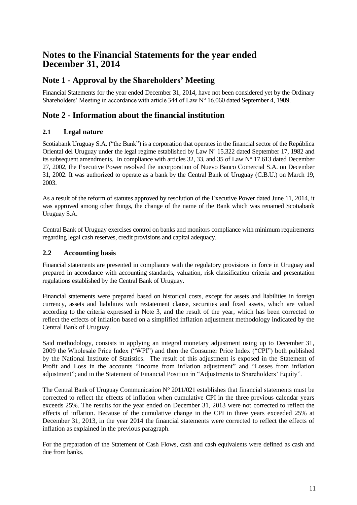# **Notes to the Financial Statements for the year ended December 31, 2014**

## **Note 1 - Approval by the Shareholders' Meeting**

Financial Statements for the year ended December 31, 2014, have not been considered yet by the Ordinary Shareholders' Meeting in accordance with article 344 of Law N° 16.060 dated September 4, 1989.

## **Note 2 - Information about the financial institution**

## **2.1 Legal nature**

Scotiabank Uruguay S.A. ("the Bank") is a corporation that operates in the financial sector of the República Oriental del Uruguay under the legal regime established by Law Nº 15.322 dated September 17, 1982 and its subsequent amendments. In compliance with articles 32, 33, and 35 of Law N° 17.613 dated December 27, 2002, the Executive Power resolved the incorporation of Nuevo Banco Comercial S.A. on December 31, 2002. It was authorized to operate as a bank by the Central Bank of Uruguay (C.B.U.) on March 19, 2003.

As a result of the reform of statutes approved by resolution of the Executive Power dated June 11, 2014, it was approved among other things, the change of the name of the Bank which was renamed Scotiabank Uruguay S.A.

Central Bank of Uruguay exercises control on banks and monitors compliance with minimum requirements regarding legal cash reserves, credit provisions and capital adequacy.

## **2.2 Accounting basis**

Financial statements are presented in compliance with the regulatory provisions in force in Uruguay and prepared in accordance with accounting standards, valuation, risk classification criteria and presentation regulations established by the Central Bank of Uruguay.

Financial statements were prepared based on historical costs, except for assets and liabilities in foreign currency, assets and liabilities with restatement clause, securities and fixed assets, which are valued according to the criteria expressed in Note 3, and the result of the year, which has been corrected to reflect the effects of inflation based on a simplified inflation adjustment methodology indicated by the Central Bank of Uruguay.

Said methodology, consists in applying an integral monetary adjustment using up to December 31, 2009 the Wholesale Price Index ("WPI") and then the Consumer Price Index ("CPI") both published by the National Institute of Statistics. The result of this adjustment is exposed in the Statement of Profit and Loss in the accounts "Income from inflation adjustment" and "Losses from inflation adjustment"; and in the Statement of Financial Position in "Adjustments to Shareholders' Equity".

The Central Bank of Uruguay Communication N° 2011/021 establishes that financial statements must be corrected to reflect the effects of inflation when cumulative CPI in the three previous calendar years exceeds 25%. The results for the year ended on December 31, 2013 were not corrected to reflect the effects of inflation. Because of the cumulative change in the CPI in three years exceeded 25% at December 31, 2013, in the year 2014 the financial statements were corrected to reflect the effects of inflation as explained in the previous paragraph.

For the preparation of the Statement of Cash Flows, cash and cash equivalents were defined as cash and due from banks.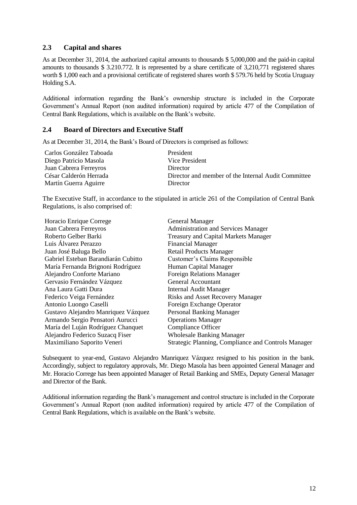## **2.3 Capital and shares**

As at December 31, 2014, the authorized capital amounts to thousands \$ 5,000,000 and the paid-in capital amounts to thousands \$ 3.210.772. It is represented by a share certificate of 3,210,771 registered shares worth \$ 1,000 each and a provisional certificate of registered shares worth \$ 579.76 held by Scotia Uruguay Holding S.A.

Additional information regarding the Bank's ownership structure is included in the Corporate Government's Annual Report (non audited information) required by article 477 of the Compilation of Central Bank Regulations, which is available on the Bank's website.

### **2.4 Board of Directors and Executive Staff**

As at December 31, 2014, the Bank's Board of Directors is comprised as follows:

| Carlos González Taboada | President                                           |
|-------------------------|-----------------------------------------------------|
| Diego Patricio Masola   | Vice President                                      |
| Juan Cabrera Ferreyros  | <b>Director</b>                                     |
| César Calderón Herrada  | Director and member of the Internal Audit Committee |
| Martín Guerra Aguirre   | Director                                            |

The Executive Staff, in accordance to the stipulated in article 261 of the Compilation of Central Bank Regulations, is also comprised of:

| Horacio Enrique Correge             | <b>General Manager</b>                              |
|-------------------------------------|-----------------------------------------------------|
| Juan Cabrera Ferreyros              | <b>Administration and Services Manager</b>          |
| Roberto Gelber Barki                | <b>Treasury and Capital Markets Manager</b>         |
| Luis Álvarez Perazzo                | <b>Financial Manager</b>                            |
| Juan José Baluga Bello              | <b>Retail Products Manager</b>                      |
| Gabriel Esteban Barandiarán Cubitto | Customer's Claims Responsible                       |
| María Fernanda Brignoni Rodríguez   | Human Capital Manager                               |
| Alejandro Conforte Mariano          | <b>Foreign Relations Manager</b>                    |
| Gervasio Fernández Vázquez          | <b>General Accountant</b>                           |
| Ana Laura Gatti Dura                | <b>Internal Audit Manager</b>                       |
| Federico Veiga Fernández            | <b>Risks and Asset Recovery Manager</b>             |
| Antonio Luongo Caselli              | Foreign Exchange Operator                           |
| Gustavo Alejandro Manriquez Vázquez | Personal Banking Manager                            |
| Armando Sergio Pensatori Aurucci    | <b>Operations Manager</b>                           |
| María del Luján Rodríguez Chanquet  | <b>Compliance Officer</b>                           |
| Alejandro Federico Suzacq Fiser     | <b>Wholesale Banking Manager</b>                    |
| Maximiliano Saporito Veneri         | Strategic Planning, Compliance and Controls Manager |

Subsequent to year-end, Gustavo Alejandro Manriquez Vázquez resigned to his position in the bank. Accordingly, subject to regulatory approvals, Mr. Diego Masola has been appointed General Manager and Mr. Horacio Correge has been appointed Manager of Retail Banking and SMEs, Deputy General Manager and Director of the Bank.

Additional information regarding the Bank's management and control structure is included in the Corporate Government's Annual Report (non audited information) required by article 477 of the Compilation of Central Bank Regulations, which is available on the Bank's website.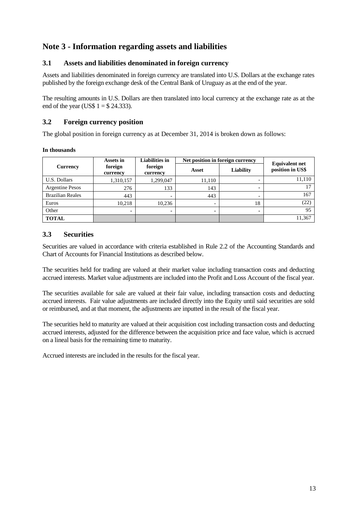## **Note 3 - Information regarding assets and liabilities**

## **3.1 Assets and liabilities denominated in foreign currency**

Assets and liabilities denominated in foreign currency are translated into U.S. Dollars at the exchange rates published by the foreign exchange desk of the Central Bank of Uruguay as at the end of the year.

The resulting amounts in U.S. Dollars are then translated into local currency at the exchange rate as at the end of the year (US\$  $1 = $24.333$ ).

## **3.2 Foreign currency position**

The global position in foreign currency as at December 31, 2014 is broken down as follows:

#### **In thousands**

|                         | Assets in           | <b>Liabilities</b> in | Net position in foreign currency |           | <b>Equivalent net</b> |
|-------------------------|---------------------|-----------------------|----------------------------------|-----------|-----------------------|
| <b>Currency</b>         | foreign<br>currency | foreign<br>currency   | Asset                            | Liability | position in US\$      |
| U.S. Dollars            | 1,310,157           | 1,299,047             | 11,110                           |           | 11,110                |
| Argentine Pesos         | 276                 | 133                   | 143                              |           |                       |
| <b>Brazilian Reales</b> | 443                 |                       | 443                              |           | 167                   |
| Euros                   | 10,218              | 10,236                | $\overline{\phantom{0}}$         | 18        | (22)                  |
| Other                   | ۰                   | $\blacksquare$        |                                  |           | 95                    |
| <b>TOTAL</b>            |                     |                       |                                  |           | 11,367                |

## **3.3 Securities**

Securities are valued in accordance with criteria established in Rule 2.2 of the Accounting Standards and Chart of Accounts for Financial Institutions as described below.

The securities held for trading are valued at their market value including transaction costs and deducting accrued interests. Market value adjustments are included into the Profit and Loss Account of the fiscal year.

The securities available for sale are valued at their fair value, including transaction costs and deducting accrued interests. Fair value adjustments are included directly into the Equity until said securities are sold or reimbursed, and at that moment, the adjustments are inputted in the result of the fiscal year.

The securities held to maturity are valued at their acquisition cost including transaction costs and deducting accrued interests, adjusted for the difference between the acquisition price and face value, which is accrued on a lineal basis for the remaining time to maturity.

Accrued interests are included in the results for the fiscal year.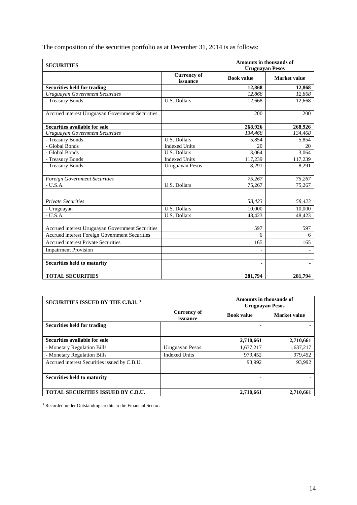The composition of the securities portfolio as at December 31, 2014 is as follows:

| <b>SECURITIES</b>                                |                                | <b>Amounts in thousands of</b><br><b>Uruguayan Pesos</b> |                     |
|--------------------------------------------------|--------------------------------|----------------------------------------------------------|---------------------|
|                                                  | <b>Currency of</b><br>issuance | <b>Book value</b>                                        | <b>Market value</b> |
| <b>Securities held for trading</b>               |                                | 12,868                                                   | 12,868              |
| <b>Uruguayan Government Securities</b>           |                                | 12,868                                                   | 12,868              |
| - Treasury Bonds                                 | U.S. Dollars                   | 12,668                                                   | 12,668              |
|                                                  |                                |                                                          |                     |
| Accrued interest Uruguayan Government Securities |                                | 200                                                      | 200                 |
| Securities available for sale                    |                                | 268,926                                                  | 268,926             |
| <b>Uruguayan Government Securities</b>           |                                | 134,468                                                  | 134,468             |
| - Treasury Bonds                                 | <b>U.S. Dollars</b>            | 5,854                                                    | 5,854               |
| - Global Bonds                                   | <b>Indexed Units</b>           | 20                                                       | 20                  |
| - Global Bonds                                   | <b>U.S. Dollars</b>            | 3,064                                                    | 3,064               |
| - Treasury Bonds                                 | <b>Indexed Units</b>           | 117,239                                                  | 117,239             |
| - Treasury Bonds                                 | Uruguayan Pesos                | 8,291                                                    | 8,291               |
|                                                  |                                |                                                          |                     |
| <b>Foreign Government Securities</b>             |                                | 75,267                                                   | 75,267              |
| $- U.S.A.$                                       | <b>U.S. Dollars</b>            | 75.267                                                   | 75,267              |
|                                                  |                                |                                                          |                     |
| <b>Private Securities</b>                        |                                | 58,423                                                   | 58,423              |
| - Uruguayan                                      | U.S. Dollars                   | 10,000                                                   | 10,000              |
| $- U.S.A.$                                       | <b>U.S. Dollars</b>            | 48,423                                                   | 48,423              |
|                                                  |                                |                                                          |                     |
| Accrued interest Uruguayan Government Securities |                                | 597                                                      | 597                 |
| Accrued interest Foreign Government Securities   |                                | 6                                                        | 6                   |
| <b>Accrued interest Private Securities</b>       |                                | 165                                                      | 165                 |
| <b>Impairment Provision</b>                      |                                | $\overline{a}$                                           |                     |
| <b>Securities held to maturity</b>               |                                |                                                          |                     |
|                                                  |                                | ٠                                                        | $\blacksquare$      |
| <b>TOTAL SECURITIES</b>                          |                                | 281,794                                                  | 281,794             |

| <b>SECURITIES ISSUED BY THE C.B.U.</b> 3     |                                | <b>Amounts in thousands of</b><br><b>Uruguayan Pesos</b> |              |  |
|----------------------------------------------|--------------------------------|----------------------------------------------------------|--------------|--|
|                                              | <b>Currency of</b><br>issuance | <b>Book value</b>                                        | Market value |  |
| Securities held for trading                  |                                |                                                          |              |  |
| Securities available for sale                |                                | 2,710,661                                                | 2,710,661    |  |
| - Monetary Regulation Bills                  | Uruguayan Pesos                | 1,637,217                                                | 1,637,217    |  |
| - Monetary Regulation Bills                  | <b>Indexed Units</b>           | 979,452                                                  | 979,452      |  |
| Accrued interest Securities issued by C.B.U. |                                | 93,992                                                   | 93,992       |  |
| Securities held to maturity                  |                                |                                                          |              |  |
| <b>TOTAL SECURITIES ISSUED BY C.B.U.</b>     |                                | 2,710,661                                                | 2,710,661    |  |

<sup>3</sup> Recorded under Outstanding credits to the Financial Sector.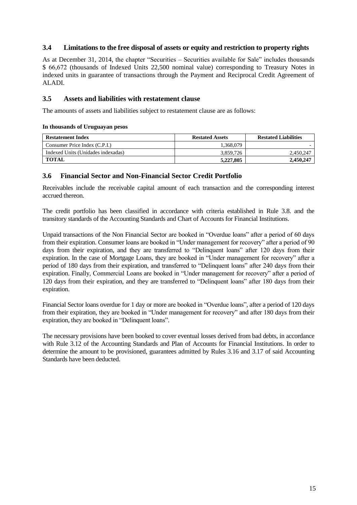## **3.4 Limitations to the free disposal of assets or equity and restriction to property rights**

As at December 31, 2014, the chapter "Securities – Securities available for Sale" includes thousands \$ 66,672 (thousands of Indexed Units 22,500 nominal value) corresponding to Treasury Notes in indexed units in guarantee of transactions through the Payment and Reciprocal Credit Agreement of ALADI.

### **3.5 Assets and liabilities with restatement clause**

The amounts of assets and liabilities subject to restatement clause are as follows:

#### **In thousands of Uruguayan pesos**

| <b>Restatement Index</b>           | <b>Restated Assets</b> | <b>Restated Liabilities</b> |
|------------------------------------|------------------------|-----------------------------|
| Consumer Price Index (C.P.I.)      | 1.368.079              |                             |
| Indexed Units (Unidades indexadas) | 3.859.726              | 2,450,247                   |
| TOTAL                              | 5,227,805              | 2,450,247                   |

### **3.6 Financial Sector and Non-Financial Sector Credit Portfolio**

Receivables include the receivable capital amount of each transaction and the corresponding interest accrued thereon.

The credit portfolio has been classified in accordance with criteria established in Rule 3.8. and the transitory standards of the Accounting Standards and Chart of Accounts for Financial Institutions.

Unpaid transactions of the Non Financial Sector are booked in "Overdue loans" after a period of 60 days from their expiration. Consumer loans are booked in "Under management for recovery" after a period of 90 days from their expiration, and they are transferred to "Delinquent loans" after 120 days from their expiration. In the case of Mortgage Loans, they are booked in "Under management for recovery" after a period of 180 days from their expiration, and transferred to "Delinquent loans" after 240 days from their expiration. Finally, Commercial Loans are booked in "Under management for recovery" after a period of 120 days from their expiration, and they are transferred to "Delinquent loans" after 180 days from their expiration.

Financial Sector loans overdue for 1 day or more are booked in "Overdue loans", after a period of 120 days from their expiration, they are booked in "Under management for recovery" and after 180 days from their expiration, they are booked in "Delinquent loans".

The necessary provisions have been booked to cover eventual losses derived from bad debts, in accordance with Rule 3.12 of the Accounting Standards and Plan of Accounts for Financial Institutions. In order to determine the amount to be provisioned, guarantees admitted by Rules 3.16 and 3.17 of said Accounting Standards have been deducted.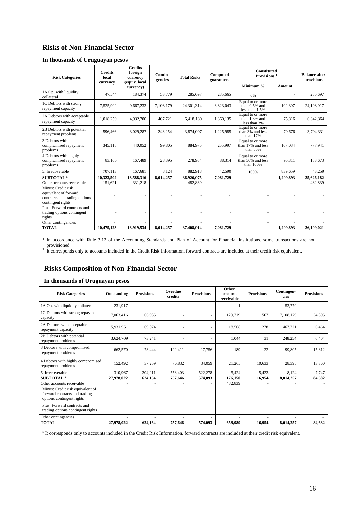## **Risks of Non-Financial Sector**

|  | In thousands of Uruguayan pesos |
|--|---------------------------------|
|--|---------------------------------|

| <b>Risk Categories</b>                                                                            | <b>Credits</b><br>local<br>currency | <b>Credits</b><br>foreign<br>currency<br>(equiv. local | Contin-<br>gencies | <b>Total Risks</b> | Computed<br>guarantees | <b>Constituted</b><br>Provisions <sup>4</sup>         |           | <b>Balance after</b><br>provisions |
|---------------------------------------------------------------------------------------------------|-------------------------------------|--------------------------------------------------------|--------------------|--------------------|------------------------|-------------------------------------------------------|-----------|------------------------------------|
|                                                                                                   |                                     | currency)                                              |                    |                    |                        | Minimum %                                             | Amount    |                                    |
| 1A Op. with liquidity<br>collateral                                                               | 47,544                              | 184,374                                                | 53,779             | 285,697            | 285,665                | 0%                                                    |           | 285,697                            |
| 1C Debtors with strong<br>repayment capacity                                                      | 7,525,902                           | 9,667,233                                              | 7,108,179          | 24,301,314         | 3,823,043              | Equal to or more<br>than $0.5%$ and<br>less than 1,5% | 102,397   | 24,198,917                         |
| 2A Debtors with acceptable<br>repayment capacity                                                  | 1,018,259                           | 4,932,200                                              | 467,721            | 6,418,180          | 1,360,135              | Equal to or more<br>than $1,5%$ and<br>less than 3%   | 75,816    | 6,342,364                          |
| 2B Debtors with potential<br>repayment problems                                                   | 596,466                             | 3,029,287                                              | 248,254            | 3,874,007          | 1,225,985              | Equal to or more<br>than 3% and less<br>than 17%      | 79,676    | 3,794,331                          |
| 3 Debtors with<br>compromised repayment<br>problems                                               | 345,118                             | 440,052                                                | 99,805             | 884,975            | 255,997                | Equal to or more<br>than 17% and less<br>than $50%$   | 107,034   | 777,941                            |
| 4 Debtors with highly<br>compromised repayment<br>problems                                        | 83.100                              | 167,489                                                | 28,395             | 278,984            | 88,314                 | Equal to or more<br>than 50% and less<br>than 100%    | 95,311    | 183,673                            |
| 5. Irrecoverable                                                                                  | 707,113                             | 167,681                                                | 8,124              | 882,918            | 42,590                 | 100%                                                  | 839,659   | 43,259                             |
| <b>SUBTOTAL<sup>5</sup></b>                                                                       | 10,323,502                          | 18,588,316                                             | 8,014,257          | 36,926,075         | 7,081,729              |                                                       | 1,299,893 | 35,626,182                         |
| Other accounts receivable                                                                         | 151,621                             | 331,218                                                |                    | 482,839            |                        |                                                       |           | 482,839                            |
| Minus: Credit risk<br>equivalent of forward<br>contracts and trading options<br>contingent rights |                                     |                                                        |                    |                    |                        |                                                       |           |                                    |
| Plus: Forward contracts and<br>trading options contingent<br>rights                               |                                     |                                                        |                    |                    |                        |                                                       |           |                                    |
| Other contingencies<br><b>TOTAL</b>                                                               | 10,475,123                          | 18,919,534                                             | 8.014.257          | 37.408.914         | 7.081.729              | ٠                                                     | 1.299.893 | 36.109.021                         |
|                                                                                                   |                                     |                                                        |                    |                    |                        |                                                       |           |                                    |

4 In accordance with Rule 3.12 of the Accounting Standards and Plan of Account for Financial Institutions, some transactions are not

provisioned.<br>
It corresponds only to accounts included in the Credit Risk Information, forward contracts are included at their credit risk equivalent.

## **Risks Composition of Non-Financial Sector**

| <b>Risk Categories</b>                                                                         | Outstanding | <b>Provisions</b> | Overdue<br>credits | <b>Provisions</b> | Other<br>accounts<br>receivable | <b>Provisions</b> | Contingen-<br>cies | <b>Provisions</b> |
|------------------------------------------------------------------------------------------------|-------------|-------------------|--------------------|-------------------|---------------------------------|-------------------|--------------------|-------------------|
| 1A Op. with liquidity collateral                                                               | 231,917     |                   |                    |                   |                                 |                   | 53,779             |                   |
| 1C Debtors with strong repayment<br>capacity                                                   | 17,063,416  | 66,935            | ٠                  | ٠                 | 129,719                         | 567               | 7,108,179          | 34,895            |
| 2A Debtors with acceptable<br>repayment capacity                                               | 5,931,951   | 69,074            | ٠                  |                   | 18,508                          | 278               | 467,721            | 6,464             |
| 2B Debtors with potential<br>repayment problems                                                | 3,624,709   | 73,241            |                    |                   | 1,044                           | 31                | 248,254            | 6,404             |
| 3 Debtors with compromised<br>repayment problems                                               | 662,570     | 73,444            | 122,411            | 17,756            | 189                             | 22                | 99,805             | 15,812            |
| 4 Debtors with highly compromised<br>repayment problems                                        | 152,492     | 37,259            | 76,832             | 34,059            | 21,265                          | 10,633            | 28,395             | 13,360            |
| 5. Irrecoverable                                                                               | 310,967     | 304,211           | 558,403            | 522,278           | 5,424                           | 5,423             | 8,124              | 7,747             |
| SUBTOTAL <sup>6</sup>                                                                          | 27,978,022  | 624,164           | 757,646            | 574,093           | 176,150                         | 16,954            | 8,014,257          | 84,682            |
| Other accounts receivable                                                                      |             |                   |                    |                   | 482,839                         |                   |                    |                   |
| Minus: Credit risk equivalent of<br>forward contracts and trading<br>options contingent rights |             |                   |                    |                   |                                 |                   |                    |                   |
| Plus: Forward contracts and<br>trading options contingent rights                               |             | ٠                 | ٠                  |                   |                                 |                   | ٠                  |                   |
| Other contingencies                                                                            |             |                   |                    |                   |                                 |                   | ۰                  |                   |
| <b>TOTAL</b>                                                                                   | 27,978,022  | 624,164           | 757,646            | 574,093           | 658,989                         | 16,954            | 8,014,257          | 84,682            |

#### **In thousands of Uruguayan pesos**

6 It corresponds only to accounts included in the Credit Risk Information, forward contracts are included at their credit risk equivalent.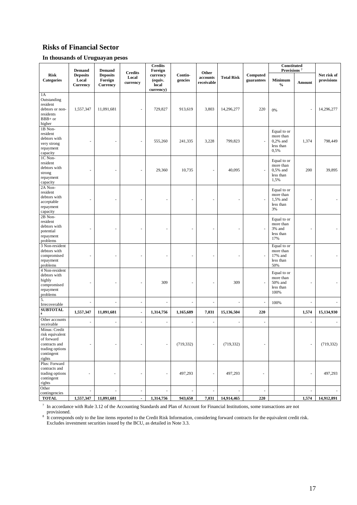## **Risks of Financial Sector**

#### **In thousands of Uruguayan pesos**

|                                                                                                            | <b>Demand</b>                        | <b>Demand</b>                                 |                                     | <b>Credits</b><br>Foreign                 |                          |                                 |                   |                        | Constituted<br>Provisions <sup>7</sup>                      |        |                           |
|------------------------------------------------------------------------------------------------------------|--------------------------------------|-----------------------------------------------|-------------------------------------|-------------------------------------------|--------------------------|---------------------------------|-------------------|------------------------|-------------------------------------------------------------|--------|---------------------------|
| <b>Risk</b><br><b>Categories</b>                                                                           | <b>Deposits</b><br>Local<br>Currency | <b>Deposits</b><br>Foreign<br><b>Currency</b> | <b>Credits</b><br>Local<br>currency | currency<br>(equiv.<br>local<br>currency) | Contin-<br>gencies       | Other<br>accounts<br>receivable | <b>Total Risk</b> | Computed<br>guarantees | <b>Minimum</b><br>$\frac{0}{0}$                             | Amount | Net risk of<br>provisions |
| 1A<br>Outstanding<br>resident<br>debtors or non-<br>residents<br>BBB+ or<br>higher                         | 1,557,347                            | 11,091,681                                    |                                     | 729,827                                   | 913,619                  | 3,803                           | 14,296,277        | 220                    | 0%                                                          | ł,     | 14,296,277                |
| 1B Non-<br>resident<br>debtors with<br>very strong<br>repayment<br>capacity                                |                                      |                                               |                                     | 555,260                                   | 241,335                  | 3,228                           | 799,823           |                        | Equal to or<br>more than<br>$0,2%$ and<br>less than<br>0,5% | 1,374  | 798,449                   |
| 1C Non-<br>resident<br>debtors with<br>strong<br>repayment<br>capacity                                     |                                      |                                               |                                     | 29,360                                    | 10,735                   |                                 | 40,095            |                        | Equal to or<br>more than<br>$0.5%$ and<br>less than<br>1,5% | 200    | 39,895                    |
| 2A Non-<br>resident<br>debtors with<br>acceptable<br>repayment<br>capacity                                 |                                      |                                               |                                     |                                           |                          |                                 |                   |                        | Equal to or<br>more than<br>1,5% and<br>less than<br>3%     |        |                           |
| 2B Non-<br>resident<br>debtors with<br>potential<br>repayment<br>problems                                  |                                      |                                               |                                     |                                           |                          |                                 |                   |                        | Equal to or<br>more than<br>3% and<br>less than<br>17%      |        |                           |
| 3 Non-resident<br>debtors with<br>compromised<br>repayment<br>problems                                     |                                      |                                               |                                     |                                           |                          |                                 |                   |                        | Equal to or<br>more than<br>17% and<br>less than<br>50%     |        |                           |
| 4 Non-resident<br>debtors with<br>highly<br>compromised<br>repayment<br>problems                           | $\overline{\phantom{a}}$             |                                               |                                     | 309                                       |                          |                                 | 309               |                        | Equal to or<br>more than<br>50% and<br>less than<br>100%    |        |                           |
| 5.<br>Irrecoverable                                                                                        | ÷,                                   | ÷,                                            | $\overline{\phantom{a}}$            | ÷,                                        | $\overline{\phantom{a}}$ |                                 |                   | ÷,                     | 100%                                                        | ÷,     |                           |
| <b>SUBTOTAL</b><br>8                                                                                       | 1,557,347                            | 11,091,681                                    | $\blacksquare$                      | 1,314,756                                 | 1,165,689                | 7,031                           | 15,136,504        | 220                    |                                                             | 1,574  | 15,134,930                |
| Other accounts<br>receivable                                                                               | ÷,                                   | ÷,                                            | ä,                                  | ÷,                                        | ÷,                       | ä,                              | $\overline{a}$    | ÷.                     |                                                             | ÷,     |                           |
| Minus: Credit<br>risk equivalent<br>of forward<br>contracts and<br>trading options<br>contingent<br>rights | $\sim$                               | $\sim$                                        | ٠                                   | $\sim$                                    | (719, 332)               |                                 | (719, 332)        | $\sim$                 |                                                             | ä,     | (719, 332)                |
| Plus: Forward<br>contracts and<br>trading options<br>contingent<br>rights                                  |                                      | ÷,                                            |                                     |                                           | 497,293                  |                                 | 497,293           |                        |                                                             | ÷,     | 497,293                   |
| Other<br>contingencies                                                                                     | $\sim$                               | ÷,                                            | ÷,                                  | ÷,                                        | ÷,                       | ä,                              |                   | $\sim$                 |                                                             | ÷,     | $\overline{\phantom{a}}$  |
| <b>TOTAL</b>                                                                                               | 1,557,347                            | 11,091,681                                    | $\overline{\phantom{a}}$            | 1,314,756                                 | 943,650                  | 7,031                           | 14,914,465        | 220                    |                                                             | 1,574  | 14,912,891                |

<sup>7</sup> In accordance with Rule 3.12 of the Accounting Standards and Plan of Account for Financial Institutions, some transactions are not

provisioned.<br><sup>8</sup> It corresponds only to the line items reported to the Credit Risk Information, considering forward contracts for the equivalent credit risk. Excludes investment securities issued by the BCU, as detailed in Note 3.3.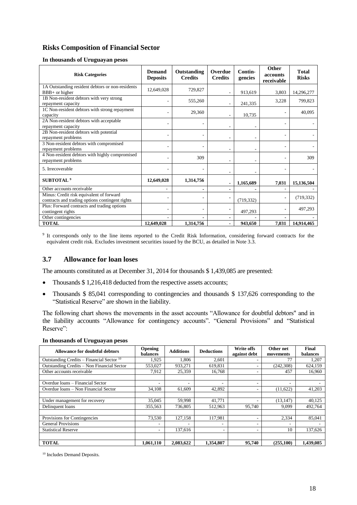## **Risks Composition of Financial Sector**

#### **In thousands of Uruguayan pesos**

| <b>Risk Categories</b>                                                                      | Demand<br><b>Deposits</b> | Outstanding<br><b>Credits</b> | Overdue<br><b>Credits</b> | Contin-<br>gencies | Other<br>accounts<br>receivable | <b>Total</b><br><b>Risks</b> |
|---------------------------------------------------------------------------------------------|---------------------------|-------------------------------|---------------------------|--------------------|---------------------------------|------------------------------|
| 1A Outstanding resident debtors or non-residents<br>$BBB+$ or higher                        | 12,649,028                | 729,827                       |                           | 913,619            | 3,803                           | 14,296,277                   |
| 1B Non-resident debtors with very strong<br>repayment capacity                              |                           | 555,260                       |                           | 241,335            | 3,228                           | 799,823                      |
| 1C Non-resident debtors with strong repayment<br>capacity                                   |                           | 29,360                        |                           | 10,735             |                                 | 40,095                       |
| 2A Non-resident debtors with acceptable<br>repayment capacity                               |                           |                               |                           |                    |                                 |                              |
| 2B Non-resident debtors with potential<br>repayment problems                                |                           |                               |                           |                    |                                 |                              |
| 3 Non-resident debtors with compromised<br>repayment problems                               |                           |                               |                           |                    |                                 |                              |
| 4 Non-resident debtors with highly compromised<br>repayment problems                        | ٠                         | 309                           |                           |                    |                                 | 309                          |
| 5. Irrecoverable                                                                            |                           |                               |                           |                    |                                 |                              |
| SUBTOTAL <sup>9</sup>                                                                       | 12,649,028                | 1,314,756                     |                           | 1,165,689          | 7,031                           | 15,136,504                   |
| Other accounts receivable                                                                   |                           |                               |                           |                    |                                 |                              |
| Minus: Credit risk equivalent of forward<br>contracts and trading options contingent rights |                           |                               |                           | (719, 332)         | $\blacksquare$                  | (719, 332)                   |
| Plus: Forward contracts and trading options<br>contingent rights                            |                           |                               |                           | 497,293            |                                 | 497,293                      |
| Other contingencies                                                                         |                           |                               |                           |                    |                                 |                              |
| <b>TOTAL</b>                                                                                | 12,649,028                | 1,314,756                     |                           | 943,650            | 7,031                           | 14,914,465                   |

9 It corresponds only to the line items reported to the Credit Risk Information, considering forward contracts for the equivalent credit risk. Excludes investment securities issued by the BCU, as detailed in Note 3.3.

#### **3.7 Allowance for loan loses**

The amounts constituted as at December 31, 2014 for thousands \$ 1,439,085 are presented:

- Thousands \$1,216,418 deducted from the respective assets accounts;
- Thousands \$ 85,041 corresponding to contingencies and thousands \$ 137,626 corresponding to the "Statistical Reserve" are shown in the liability.

The following chart shows the movements in the asset accounts "Allowance for doubtful debtors" and in the liability accounts "Allowance for contingency accounts". "General Provisions" and "Statistical Reserve":

| In thousands of Uruguayan pesos |  |  |  |
|---------------------------------|--|--|--|
|---------------------------------|--|--|--|

| <b>Allowance for doubtful debtors</b>       | Opening<br>balances      | <b>Additions</b> | <b>Deductions</b>        | <b>Write offs</b><br>against debt | Other net<br>movements   | Final<br>balances |
|---------------------------------------------|--------------------------|------------------|--------------------------|-----------------------------------|--------------------------|-------------------|
| Outstanding Credits – Financial Sector $10$ | 1,925                    | 1.806            | 2,601                    |                                   | 77                       | 1,207             |
| Outstanding Credits - Non Financial Sector  | 553.027                  | 933,271          | 619,831                  |                                   | (242, 308)               | 624,159           |
| Other accounts receivable                   | 7.912                    | 25,359           | 16,768                   |                                   | 457                      | 16,960            |
|                                             |                          |                  |                          |                                   |                          |                   |
| Overdue loans - Financial Sector            | $\overline{\phantom{a}}$ | ۰                |                          |                                   | $\overline{\phantom{a}}$ |                   |
| Overdue loans – Non Financial Sector        | 34.108                   | 61,609           | 42.892                   |                                   | (11,622)                 | 41,203            |
|                                             |                          |                  |                          |                                   |                          |                   |
| Under management for recovery               | 35,045                   | 59,998           | 41,771                   |                                   | (13, 147)                | 40,125            |
| Delinquent loans                            | 355.563                  | 736,805          | 512,963                  | 95.740                            | 9,099                    | 492.764           |
|                                             |                          |                  |                          |                                   |                          |                   |
| Provisions for Contingencies                | 73,530                   | 127.158          | 117.981                  |                                   | 2,334                    | 85,041            |
| <b>General Provisions</b>                   | $\overline{\phantom{a}}$ | ۰                |                          |                                   | $\overline{\phantom{a}}$ | ۰                 |
| <b>Statistical Reserve</b>                  | $\overline{\phantom{a}}$ | 137,616          | $\overline{\phantom{a}}$ |                                   | 10                       | 137,626           |
|                                             |                          |                  |                          |                                   |                          |                   |
| <b>TOTAL</b>                                | 1.061.110                | 2.083.622        | 1,354,807                | 95,740                            | (255, 100)               | 1.439.085         |

<sup>10</sup> Includes Demand Deposits.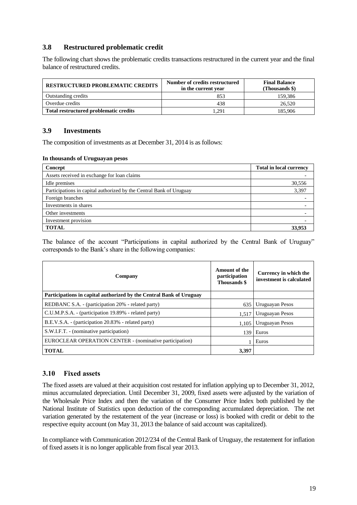## **3.8 Restructured problematic credit**

The following chart shows the problematic credits transactions restructured in the current year and the final balance of restructured credits.

| <b>RESTRUCTURED PROBLEMATIC CREDITS</b> | Number of credits restructured<br>in the current year | <b>Final Balance</b><br>(Thousands \$) |
|-----------------------------------------|-------------------------------------------------------|----------------------------------------|
| Outstanding credits                     | 853                                                   | 159.386                                |
| Overdue credits                         | 438                                                   | 26,520                                 |
| Total restructured problematic credits  | .291                                                  | 185.906                                |

### **3.9 Investments**

The composition of investments as at December 31, 2014 is as follows:

#### **In thousands of Uruguayan pesos**

| Concept                                                             | <b>Total in local currency</b> |
|---------------------------------------------------------------------|--------------------------------|
| Assets received in exchange for loan claims                         |                                |
| Idle premises                                                       | 30,556                         |
| Participations in capital authorized by the Central Bank of Uruguay | 3,397                          |
| Foreign branches                                                    |                                |
| Investments in shares                                               |                                |
| Other investments                                                   |                                |
| Investment provision                                                |                                |
| <b>TOTAL</b>                                                        | 33,953                         |

The balance of the account "Participations in capital authorized by the Central Bank of Uruguay" corresponds to the Bank's share in the following companies:

| Company                                                             | <b>Amount of the</b><br>participation<br><b>Thousands</b> \$ | Currency in which the<br>investment is calculated |
|---------------------------------------------------------------------|--------------------------------------------------------------|---------------------------------------------------|
| Participations in capital authorized by the Central Bank of Uruguay |                                                              |                                                   |
| REDBANC S.A. - (participation 20% - related party)                  | 635                                                          | Uruguayan Pesos                                   |
| C.U.M.P.S.A. - (participation 19.89% - related party)               | 1.517                                                        | Uruguayan Pesos                                   |
| B.E.V.S.A. - (participation 20.83% - related party)                 | 1,105                                                        | Uruguayan Pesos                                   |
| S.W.I.F.T. - (nominative participation)                             | 139                                                          | Euros                                             |
| EUROCLEAR OPERATION CENTER - (nominative participation)             |                                                              | Euros                                             |
| <b>TOTAL</b>                                                        | 3.397                                                        |                                                   |

## **3.10 Fixed assets**

The fixed assets are valued at their acquisition cost restated for inflation applying up to December 31, 2012, minus accumulated depreciation. Until December 31, 2009, fixed assets were adjusted by the variation of the Wholesale Price Index and then the variation of the Consumer Price Index both published by the National Institute of Statistics upon deduction of the corresponding accumulated depreciation. The net variation generated by the restatement of the year (increase or loss) is booked with credit or debit to the respective equity account (on May 31, 2013 the balance of said account was capitalized).

In compliance with Communication 2012/234 of the Central Bank of Uruguay, the restatement for inflation of fixed assets it is no longer applicable from fiscal year 2013.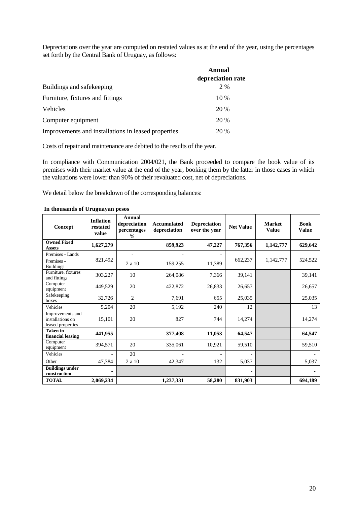Depreciations over the year are computed on restated values as at the end of the year, using the percentages set forth by the Central Bank of Uruguay, as follows:

|                                                     | Annual            |
|-----------------------------------------------------|-------------------|
|                                                     | depreciation rate |
| Buildings and safekeeping                           | 2 %               |
| Furniture, fixtures and fittings                    | 10 %              |
| Vehicles                                            | 20 %              |
| Computer equipment                                  | 20 %              |
| Improvements and installations in leased properties | 20 %              |

Costs of repair and maintenance are debited to the results of the year.

In compliance with Communication 2004/021, the Bank proceeded to compare the book value of its premises with their market value at the end of the year, booking them by the latter in those cases in which the valuations were lower than 90% of their revaluated cost, net of depreciations.

We detail below the breakdown of the corresponding balances:

| Concept                                                   | <b>Inflation</b><br>restated<br>value | Annual<br>depreciation<br>percentages<br>$\frac{0}{0}$ | <b>Accumulated</b><br>depreciation | <b>Depreciation</b><br>over the year | <b>Net Value</b> | <b>Market</b><br><b>Value</b> | <b>Book</b><br><b>Value</b> |
|-----------------------------------------------------------|---------------------------------------|--------------------------------------------------------|------------------------------------|--------------------------------------|------------------|-------------------------------|-----------------------------|
| <b>Owned Fixed</b><br><b>Assets</b>                       | 1,627,279                             |                                                        | 859,923                            | 47,227                               | 767,356          | 1,142,777                     | 629,642                     |
| Premises - Lands                                          |                                       |                                                        |                                    |                                      |                  |                               |                             |
| Premises -<br><b>Buildings</b>                            | 821,492                               | 2 a 10                                                 | 159,255                            | 11,389                               | 662,237          | 1,142,777                     | 524,522                     |
| Furniture. fixtures<br>and fittings                       | 303,227                               | 10                                                     | 264,086                            | 7,366                                | 39,141           |                               | 39,141                      |
| Computer<br>equipment                                     | 449,529                               | 20                                                     | 422,872                            | 26,833                               | 26,657           |                               | 26,657                      |
| Safekeeping<br>boxes                                      | 32,726                                | $\overline{c}$                                         | 7,691                              | 655                                  | 25,035           |                               | 25,035                      |
| Vehicles                                                  | 5,204                                 | 20                                                     | 5,192                              | 240                                  | 12               |                               | 13                          |
| Improvements and<br>installations on<br>leased properties | 15,101                                | 20                                                     | 827                                | 744                                  | 14,274           |                               | 14,274                      |
| <b>Taken</b> in<br>financial leasing                      | 441,955                               |                                                        | 377,408                            | 11,053                               | 64,547           |                               | 64,547                      |
| Computer<br>equipment                                     | 394,571                               | 20                                                     | 335,061                            | 10,921                               | 59,510           |                               | 59,510                      |
| Vehicles                                                  |                                       | 20                                                     |                                    |                                      |                  |                               |                             |
| Other                                                     | 47,384                                | 2 a 10                                                 | 42,347                             | 132                                  | 5,037            |                               | 5,037                       |
| <b>Buildings under</b><br>construction                    |                                       |                                                        |                                    |                                      |                  |                               |                             |
| <b>TOTAL</b>                                              | 2,069,234                             |                                                        | 1,237,331                          | 58,280                               | 831,903          |                               | 694,189                     |

#### **In thousands of Uruguayan pesos**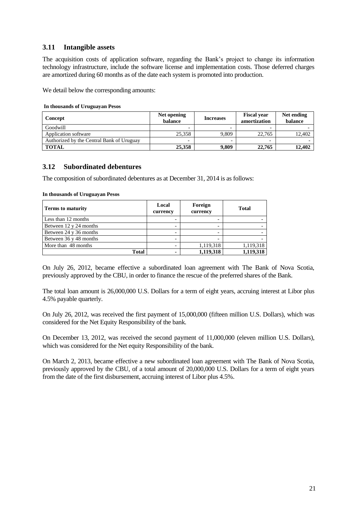## **3.11 Intangible assets**

The acquisition costs of application software, regarding the Bank's project to change its information technology infrastructure, include the software license and implementation costs. Those deferred charges are amortized during 60 months as of the date each system is promoted into production.

We detail below the corresponding amounts:

#### **In thousands of Uruguayan Pesos**

| Concept                                   | Net opening<br>balance   | <b>Increases</b>         | <b>Fiscal year</b><br>amortization | Net ending<br>balance |
|-------------------------------------------|--------------------------|--------------------------|------------------------------------|-----------------------|
| Goodwill                                  | $\overline{\phantom{0}}$ |                          |                                    |                       |
| Application software                      | 25.358                   | 9.809                    | 22,765                             | 12.402                |
| Authorized by the Central Bank of Uruguay | -                        | $\overline{\phantom{0}}$ |                                    |                       |
| <b>TOTAL</b>                              | 25,358                   | 9,809                    | 22,765                             | 12.402                |

#### **3.12 Subordinated debentures**

The composition of subordinated debentures as at December 31, 2014 is as follows:

#### **In thousands of Uruguayan Pesos**

| <b>Terms to maturity</b> | Local<br>currency        | Foreign<br>currency | <b>Total</b> |
|--------------------------|--------------------------|---------------------|--------------|
| Less than 12 months      |                          |                     |              |
| Between 12 y 24 months   |                          |                     |              |
| Between 24 y 36 months   |                          |                     |              |
| Between 36 y 48 months   |                          |                     |              |
| More than 48 months      | $\overline{\phantom{0}}$ | 1,119,318           | 1,119,318    |
| <b>Total</b>             |                          | 1,119,318           | 1,119,318    |

On July 26, 2012, became effective a subordinated loan agreement with The Bank of Nova Scotia, previously approved by the CBU, in order to finance the rescue of the preferred shares of the Bank.

The total loan amount is 26,000,000 U.S. Dollars for a term of eight years, accruing interest at Libor plus 4.5% payable quarterly.

On July 26, 2012, was received the first payment of 15,000,000 (fifteen million U.S. Dollars), which was considered for the Net Equity Responsibility of the bank.

On December 13, 2012, was received the second payment of 11,000,000 (eleven million U.S. Dollars), which was considered for the Net equity Responsibility of the bank.

On March 2, 2013, became effective a new subordinated loan agreement with The Bank of Nova Scotia, previously approved by the CBU, of a total amount of 20,000,000 U.S. Dollars for a term of eight years from the date of the first disbursement, accruing interest of Libor plus 4.5%.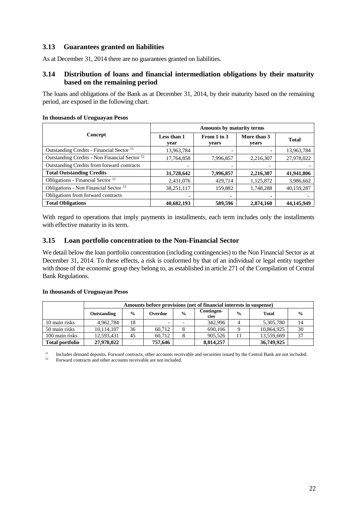## **3.13 Guarantees granted on liabilities**

As at December 31, 2014 there are no guarantees granted on liabilities.

## **3.14 Distribution of loans and financial intermediation obligations by their maturity based on the remaining period**

The loans and obligations of the Bank as at December 31, 2014, by their maturity based on the remaining period, are exposed in the following chart.

|                                                          | Amounts by maturity terms |                          |                      |              |  |  |  |
|----------------------------------------------------------|---------------------------|--------------------------|----------------------|--------------|--|--|--|
| Concept                                                  | Less than 1<br>year       | From 1 to 3<br>years     | More than 3<br>years | <b>Total</b> |  |  |  |
| Outstanding Credits - Financial Sector <sup>11</sup>     | 13,963,784                | $\overline{\phantom{0}}$ |                      | 13,963,784   |  |  |  |
| Outstanding Credits - Non Financial Sector <sup>12</sup> | 17,764,858                | 7,996,857                | 2,216,307            | 27,978,022   |  |  |  |
| Outstanding Credits from forward contracts               | $\overline{\phantom{a}}$  |                          |                      |              |  |  |  |
| <b>Total Outstanding Credits</b>                         | 31,728,642                | 7,996,857                | 2,216,307            | 41,941,806   |  |  |  |
| Obligations - Financial Sector <sup>12</sup>             | 2,431,076                 | 429,714                  | 1,125,872            | 3,986,662    |  |  |  |
| Obligations - Non Financial Sector <sup>12</sup>         | 38,251,117                | 159,882                  | 1,748,288            | 40,159,287   |  |  |  |
| Obligations from forward contracts                       | $\overline{\phantom{a}}$  | -                        |                      |              |  |  |  |
| <b>Total Obligations</b>                                 | 40.682.193                | 589,596                  | 2,874,160            | 44,145,949   |  |  |  |

#### **In thousands of Uruguayan Pesos**

With regard to operations that imply payments in installments, each term includes only the installments with effective maturity in its term.

#### **3.15 Loan portfolio concentration to the Non-Financial Sector**

We detail below the loan portfolio concentration (including contingencies) to the Non Financial Sector as at December 31, 2014. To these effects, a risk is conformed by that of an individual or legal entity together with those of the economic group they belong to, as established in article 271 of the Compilation of Central Bank Regulations.

#### **In thousands of Uruguayan Pesos**

|                        |             | Amounts before provisions (net of financial interests in suspense) |         |               |                    |               |              |               |  |  |  |
|------------------------|-------------|--------------------------------------------------------------------|---------|---------------|--------------------|---------------|--------------|---------------|--|--|--|
|                        | Outstanding | $\frac{0}{0}$                                                      | Overdue | $\frac{0}{n}$ | Contingen-<br>cies | $\frac{0}{0}$ | <b>Total</b> | $\frac{0}{0}$ |  |  |  |
| 10 main risks          | 4.962.784   | 18                                                                 |         |               | 342,996            |               | 5,305,780    | 14            |  |  |  |
| 50 main risks          | 10,114,107  | 36                                                                 | 60.712  |               | 690,106            |               | 10,864,925   | 30            |  |  |  |
| 100 main risks         | 12,593,431  | 45                                                                 | 60.712  |               | 905.526            | 11            | 13,559,669   | 37            |  |  |  |
| <b>Total portfolio</b> | 27,978,022  |                                                                    | 757,646 |               | 8.014.257          |               | 36,749,925   |               |  |  |  |

<sup>11</sup> Includes demand deposits. Forward contracts, other accounts receivable and securities issued by the Central Bank are not included.<br><sup>12</sup> Eerward contracts and other accounts receivable are not included.

Forward contracts and other accounts receivable are not included.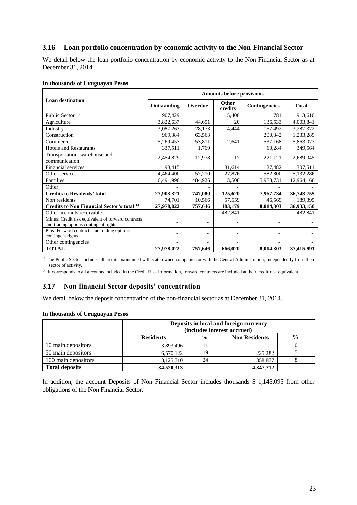## **3.16 Loan portfolio concentration by economic activity to the Non-Financial Sector**

We detail below the loan portfolio concentration by economic activity to the Non Financial Sector as at December 31, 2014.

|                                                                                             | <b>Amounts before provisions</b> |         |                  |               |              |  |  |  |
|---------------------------------------------------------------------------------------------|----------------------------------|---------|------------------|---------------|--------------|--|--|--|
| <b>Loan destination</b>                                                                     | Outstanding                      | Overdue | Other<br>credits | Contingencies | <b>Total</b> |  |  |  |
| Public Sector <sup>13</sup>                                                                 | 907,429                          |         | 5,400            | 781           | 913,610      |  |  |  |
| Agriculture                                                                                 | 3,822,637                        | 44,651  | 20               | 136,533       | 4,003,841    |  |  |  |
| Industry                                                                                    | 3,087,263                        | 28,173  | 4,444            | 167,492       | 3,287,372    |  |  |  |
| Construction                                                                                | 969,384                          | 63,563  |                  | 200,342       | 1,233,289    |  |  |  |
| Commerce                                                                                    | 5,269,457                        | 53,811  | 2,641            | 537,168       | 5,863,077    |  |  |  |
| <b>Hotels and Restaurants</b>                                                               | 337,511                          | 1,769   |                  | 10,284        | 349,564      |  |  |  |
| Transportation, warehouse and<br>communication                                              | 2,454,829                        | 12,978  | 117              | 221,121       | 2,689,045    |  |  |  |
| <b>Financial services</b>                                                                   | 98,415                           |         | 81,614           | 127,482       | 307,511      |  |  |  |
| Other services                                                                              | 4,464,400                        | 57,210  | 27,876           | 582,800       | 5,132,286    |  |  |  |
| Families                                                                                    | 6,491,996                        | 484,925 | 3,508            | 5,983,731     | 12,964,160   |  |  |  |
| Other                                                                                       |                                  |         |                  |               |              |  |  |  |
| <b>Credits to Residents' total</b>                                                          | 27,903,321                       | 747,080 | 125,620          | 7,967,734     | 36,743,755   |  |  |  |
| Non residents                                                                               | 74,701                           | 10,566  | 57,559           | 46,569        | 189,395      |  |  |  |
| <b>Credits to Non Financial Sector's total 14</b>                                           | 27,978,022                       | 757,646 | 183,179          | 8,014,303     | 36,933,150   |  |  |  |
| Other accounts receivable                                                                   |                                  |         | 482,841          |               | 482,841      |  |  |  |
| Minus: Credit risk equivalent of forward contracts<br>and trading options contingent rights |                                  |         |                  |               |              |  |  |  |
| Plus: Forward contracts and trading options<br>contingent rights                            |                                  |         |                  | ٠             |              |  |  |  |
| Other contingencies                                                                         |                                  |         |                  |               |              |  |  |  |
| <b>TOTAL</b>                                                                                | 27,978,022                       | 757,646 | 666,020          | 8,014,303     | 37,415,991   |  |  |  |

#### **In thousands of Uruguayan Pesos**

<sup>13</sup> The Public Sector includes all credits maintained with state owned companies or with the Central Administration, independently from their sector of activity.

<sup>14</sup> It corresponds to all accounts included in the Credit Risk Information, forward contracts are included at their credit risk equivalent.

### **3.17 Non-financial Sector deposits' concentration**

We detail below the deposit concentration of the non-financial sector as at December 31, 2014.

#### **In thousands of Uruguayan Pesos**

|                       |                  | Deposits in local and foreign currency<br>(includes interest accrued) |                      |      |  |  |  |  |
|-----------------------|------------------|-----------------------------------------------------------------------|----------------------|------|--|--|--|--|
|                       | <b>Residents</b> | $\frac{0}{0}$                                                         | <b>Non Residents</b> | $\%$ |  |  |  |  |
| 10 main depositors    | 3,893,496        |                                                                       |                      |      |  |  |  |  |
| 50 main depositors    | 6,570,122        | 19                                                                    | 225,282              |      |  |  |  |  |
| 100 main depositors   | 8,125,710        | 24                                                                    | 358,877              |      |  |  |  |  |
| <b>Total deposits</b> | 34,520,313       |                                                                       | 4,347,712            |      |  |  |  |  |

In addition, the account Deposits of Non Financial Sector includes thousands \$ 1,145,095 from other obligations of the Non Financial Sector.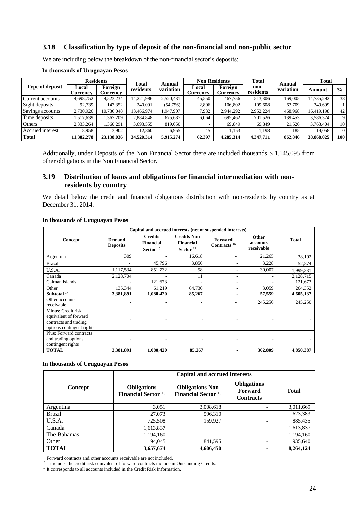#### **3.18 Classification by type of deposit of the non-financial and non-public sector**

We are including below the breakdown of the non-financial sector's deposits:

|                        |                   | <b>Residents</b>           |                    | Annual    | <b>Non Residents</b> |                            | <b>Total</b>      | Annual    | <b>Total</b> |               |
|------------------------|-------------------|----------------------------|--------------------|-----------|----------------------|----------------------------|-------------------|-----------|--------------|---------------|
| <b>Type of deposit</b> | Local<br>Currency | Foreign<br><b>Currency</b> | Total<br>residents | variation | Local<br>Currency    | Foreign<br><b>Currency</b> | non-<br>residents | variation | Amount       | $\frac{0}{0}$ |
| Current accounts       | 4,698,752         | 9,523,234                  | 14,221,986         | 2,520,431 | 45,550               | 467,756                    | 513,306           | 169,005   | 14,735,292   | 38            |
| Sight deposits         | 92.739            | 147,352                    | 240,091            | (54,756)  | 2,806                | 106,802                    | 109,608           | 63,709    | 349.699      |               |
| Savings accounts       | 2,730,926         | 10.736.048                 | 13.466.974         | .947.907  | 7,932                | 2.944.292                  | 2.952.224         | 468.968   | 16.419.198   | 42            |
| Time deposits          | 1,517,639         | 367,209                    | 2,884,848          | 675.687   | 6.064                | 695.462                    | 701,526           | 139,453   | 3,586,374    |               |
| <b>Others</b>          | 2,333,264         | .360.291                   | 3,693,555          | 819,050   |                      | 69.849                     | 69.849            | 21.526    | 3,763,404    | 10            |
| Accrued interest       | 8.958             | 3.902                      | 12.860             | 6.955     | 45                   | 1.153                      | 1.198             | 185       | 14.058       |               |
| <b>Total</b>           | 11,382,278        | 23,138,036                 | 34,520,314         | 5.915.274 | 62,397               | 4,285,314                  | 4.347.711         | 862,846   | 38,868,025   | 100           |

#### **In thousands of Uruguayan Pesos**

Additionally, under Deposits of the Non Financial Sector there are included thousands \$ 1,145,095 from other obligations in the Non Financial Sector.

## **3.19 Distribution of loans and obligations for financial intermediation with nonresidents by country**

We detail below the credit and financial obligations distribution with non-residents by country as at December 31, 2014.

|                                                                                                   | Capital and accrued interests (net of suspended interests) |                                                   |                                                                |                                  |                                 |              |  |
|---------------------------------------------------------------------------------------------------|------------------------------------------------------------|---------------------------------------------------|----------------------------------------------------------------|----------------------------------|---------------------------------|--------------|--|
| Concept                                                                                           | <b>Demand</b><br><b>Deposits</b>                           | <b>Credits</b><br><b>Financial</b><br>Sector $15$ | <b>Credits Non</b><br><b>Financial</b><br>Sector <sup>15</sup> | <b>Forward</b><br>Contracts $16$ | Other<br>accounts<br>receivable | <b>Total</b> |  |
| Argentina                                                                                         | 309                                                        |                                                   | 16,618                                                         | -                                | 21,265                          | 38,192       |  |
| <b>Brazil</b>                                                                                     |                                                            | 45,796                                            | 3,850                                                          | ۰                                | 3,228                           | 52,874       |  |
| U.S.A.                                                                                            | 1,117,534                                                  | 851,732                                           | 58                                                             | ٠                                | 30,007                          | 1,999,331    |  |
| Canada                                                                                            | 2,128,704                                                  |                                                   | 11                                                             | ۰                                |                                 | 2,128,715    |  |
| Caiman Islands                                                                                    |                                                            | 121,673                                           |                                                                | ۰                                |                                 | 121,673      |  |
| Other                                                                                             | 135,344                                                    | 61,219                                            | 64,730                                                         | ۰                                | 3,059                           | 264,352      |  |
| Subtotal $17$                                                                                     | 3,381,891                                                  | 1,080,420                                         | 85,267                                                         |                                  | 57,559                          | 4,605,137    |  |
| Other accounts<br>receivable                                                                      |                                                            |                                                   |                                                                |                                  | 245,250                         | 245,250      |  |
| Minus: Credit risk<br>equivalent of forward<br>contracts and trading<br>options contingent rights |                                                            |                                                   |                                                                |                                  |                                 |              |  |
| Plus: Forward contracts<br>and trading options<br>contingent rights                               |                                                            |                                                   |                                                                |                                  |                                 |              |  |
| <b>TOTAL</b>                                                                                      | 3,381,891                                                  | 1,080,420                                         | 85,267                                                         |                                  | 302,809                         | 4,850,387    |  |

#### **In thousands of Uruguayan Pesos**

#### **In thousands of Uruguayan Pesos**

|               | <b>Capital and accrued interests</b>             |                                                      |                                                          |              |
|---------------|--------------------------------------------------|------------------------------------------------------|----------------------------------------------------------|--------------|
| Concept       | <b>Obligations</b><br><b>Financial Sector 13</b> | <b>Obligations Non</b><br><b>Financial Sector 13</b> | <b>Obligations</b><br><b>Forward</b><br><b>Contracts</b> | <b>Total</b> |
| Argentina     | 3,051                                            | 3,008,618                                            | $\overline{\phantom{0}}$                                 | 3,011,669    |
| <b>Brazil</b> | 27,073                                           | 596,310                                              |                                                          | 623,383      |
| U.S.A.        | 725,508                                          | 159,927                                              | $\overline{\phantom{0}}$                                 | 885,435      |
| Canada        | 1,613,837                                        | $\overline{\phantom{a}}$                             | $\overline{\phantom{0}}$                                 | 1,613,837    |
| The Bahamas   | 1,194,160                                        | $\overline{\phantom{a}}$                             | $\overline{\phantom{0}}$                                 | 1,194,160    |
| Other         | 94,045                                           | 841,595                                              | $\overline{\phantom{0}}$                                 | 935,640      |
| <b>TOTAL</b>  | 3,657,674                                        | 4,606,450                                            | ۰                                                        | 8,264,124    |

<sup>15</sup> Forward contracts and other accounts receivable are not included.

<sup>16</sup>It includes the credit risk equivalent of forward contracts include in Outstanding Credits.

<sup>17</sup> It corresponds to all accounts included in the Credit Risk Information.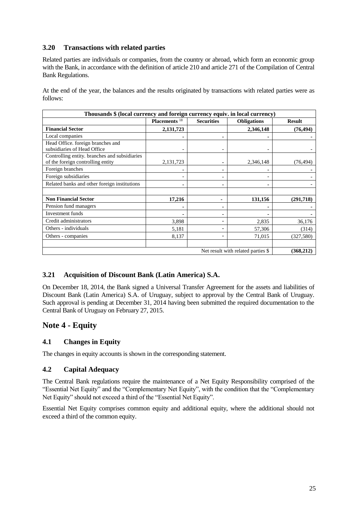## **3.20 Transactions with related parties**

Related parties are individuals or companies, from the country or abroad, which form an economic group with the Bank, in accordance with the definition of article 210 and article 271 of the Compilation of Central Bank Regulations.

At the end of the year, the balances and the results originated by transactions with related parties were as follows:

| Thousands \$ (local currency and foreign currency equiv. in local currency)        |                          |                          |                    |               |  |
|------------------------------------------------------------------------------------|--------------------------|--------------------------|--------------------|---------------|--|
|                                                                                    | Placements <sup>18</sup> | <b>Securities</b>        | <b>Obligations</b> | <b>Result</b> |  |
| <b>Financial Sector</b>                                                            | 2,131,723                |                          | 2,346,148          | (76, 494)     |  |
| Local companies                                                                    |                          |                          |                    |               |  |
| Head Office. foreign branches and<br>subsidiaries of Head Office                   | $\overline{\phantom{0}}$ | $\overline{\phantom{a}}$ |                    |               |  |
| Controlling entity. branches and subsidiaries<br>of the foreign controlling entity | 2,131,723                |                          | 2,346,148          | (76, 494)     |  |
| Foreign branches                                                                   |                          |                          |                    |               |  |
| Foreign subsidiaries                                                               | ۰                        |                          |                    |               |  |
| Related banks and other foreign institutions                                       |                          |                          |                    |               |  |
| <b>Non Financial Sector</b>                                                        | 17,216                   | ۰                        | 131,156            | (291,718)     |  |
| Pension fund managers                                                              | ۰                        | -                        |                    |               |  |
| Investment funds                                                                   |                          |                          |                    |               |  |
| Credit administrators                                                              | 3,898                    |                          | 2,835              | 36,176        |  |
| Others - individuals                                                               | 5,181                    | ۰                        | 57,306             | (314)         |  |
| Others - companies                                                                 | 8,137                    |                          | 71,015             | (327, 580)    |  |
|                                                                                    |                          |                          |                    |               |  |
| Net result with related parties \$                                                 |                          |                          |                    | (368, 212)    |  |

## **3.21 Acquisition of Discount Bank (Latin America) S.A.**

On December 18, 2014, the Bank signed a Universal Transfer Agreement for the assets and liabilities of Discount Bank (Latin America) S.A. of Uruguay, subject to approval by the Central Bank of Uruguay. Such approval is pending at December 31, 2014 having been submitted the required documentation to the Central Bank of Uruguay on February 27, 2015.

## **Note 4 - Equity**

## **4.1 Changes in Equity**

The changes in equity accounts is shown in the corresponding statement.

## **4.2 Capital Adequacy**

The Central Bank regulations require the maintenance of a Net Equity Responsibility comprised of the "Essential Net Equity" and the "Complementary Net Equity", with the condition that the "Complementary Net Equity" should not exceed a third of the "Essential Net Equity".

Essential Net Equity comprises common equity and additional equity, where the additional should not exceed a third of the common equity.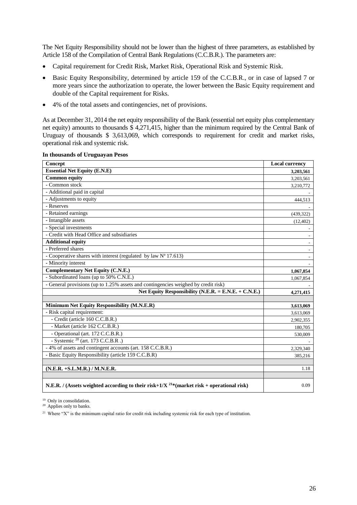The Net Equity Responsibility should not be lower than the highest of three parameters, as established by Article 158 of the Compilation of Central Bank Regulations (C.C.B.R.). The parameters are:

- Capital requirement for Credit Risk, Market Risk, Operational Risk and Systemic Risk.
- Basic Equity Responsibility, determined by article 159 of the C.C.B.R., or in case of lapsed 7 or more years since the authorization to operate, the lower between the Basic Equity requirement and double of the Capital requirement for Risks.
- 4% of the total assets and contingencies, net of provisions.

As at December 31, 2014 the net equity responsibility of the Bank (essential net equity plus complementary net equity) amounts to thousands \$ 4,271,415, higher than the minimum required by the Central Bank of Uruguay of thousands \$ 3,613,069, which corresponds to requirement for credit and market risks, operational risk and systemic risk.

| Concept                                                                                               | <b>Local currency</b> |
|-------------------------------------------------------------------------------------------------------|-----------------------|
| <b>Essential Net Equity (E.N.E)</b>                                                                   | 3,203,561             |
| Common equity                                                                                         | 3,203,561             |
| - Common stock                                                                                        | 3,210,772             |
| - Additional paid in capital                                                                          |                       |
| - Adjustments to equity                                                                               | 444,513               |
| - Reserves                                                                                            |                       |
| - Retained earnings                                                                                   | (439, 322)            |
| - Intangible assets                                                                                   | (12, 402)             |
| - Special investments                                                                                 |                       |
| - Credit with Head Office and subsidiaries                                                            |                       |
| <b>Additional equity</b>                                                                              |                       |
| - Preferred shares                                                                                    |                       |
| - Cooperative shares with interest (regulated by law $N^a$ 17.613)                                    |                       |
| - Minority interest                                                                                   |                       |
| <b>Complementary Net Equity (C.N.E.)</b>                                                              | 1,067,854             |
| - Subordinated loans (up to 50% C.N.E.)                                                               | 1,067,854             |
| - General provisions (up to 1.25% assets and contingencies weighed by credit risk)                    |                       |
| Net Equity Responsibility (N.E.R. = E.N.E. + C.N.E.)                                                  | 4,271,415             |
|                                                                                                       |                       |
| Minimum Net Equity Responsibility (M.N.E.R)                                                           | 3,613,069             |
| - Risk capital requirement:                                                                           | 3,613,069             |
| - Credit (article 160 C.C.B.R.)                                                                       | 2,902,355             |
| - Market (article 162 C.C.B.R.)                                                                       | 180,705               |
| - Operational (art. 172 C.C.B.R.)                                                                     | 530,009               |
| - Systemic <sup>20</sup> (art. 173 C.C.B.R.)                                                          |                       |
| - 4% of assets and contingent accounts (art. 158 C.C.B.R.)                                            | 2,329,340             |
| - Basic Equity Responsibility (article 159 C.C.B.R)                                                   | 385,216               |
|                                                                                                       |                       |
| (N.E.R. +S.L.M.R.) / M.N.E.R.                                                                         | 1.18                  |
|                                                                                                       |                       |
| N.E.R. / (Assets weighted according to their risk+1/X <sup>21*</sup> (market risk + operational risk) | 0.09                  |

**In thousands of Uruguayan Pesos**

<sup>19</sup> Only in consolidation.

<sup>20</sup> Applies only to banks.

<sup>21</sup> Where "X" is the minimum capital ratio for credit risk including systemic risk for each type of institution.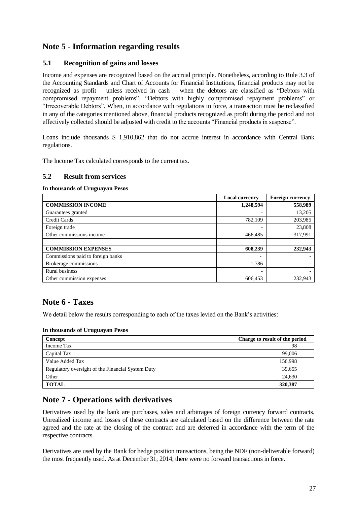## **Note 5 - Information regarding results**

## **5.1 Recognition of gains and losses**

Income and expenses are recognized based on the accrual principle. Nonetheless, according to Rule 3.3 of the Accounting Standards and Chart of Accounts for Financial Institutions, financial products may not be recognized as profit – unless received in cash – when the debtors are classified as "Debtors with compromised repayment problems", "Debtors with highly compromised repayment problems" or "Irrecoverable Debtors". When, in accordance with regulations in force, a transaction must be reclassified in any of the categories mentioned above, financial products recognized as profit during the period and not effectively collected should be adjusted with credit to the accounts "Financial products in suspense".

Loans include thousands \$ 1,910,862 that do not accrue interest in accordance with Central Bank regulations.

The Income Tax calculated corresponds to the current tax.

#### **5.2 Result from services**

#### **In thousands of Uruguayan Pesos**

|                                   | <b>Local currency</b>    | <b>Foreign currency</b> |
|-----------------------------------|--------------------------|-------------------------|
| <b>COMMISSION INCOME</b>          | 1,248,594                | 558,989                 |
| Guarantees granted                | -                        | 13,205                  |
| Credit Cards                      | 782,109                  | 203,985                 |
| Foreign trade                     |                          | 23,808                  |
| Other commissions income          | 466,485                  | 317,991                 |
|                                   |                          |                         |
| <b>COMMISSION EXPENSES</b>        | 608,239                  | 232,943                 |
| Commissions paid to foreign banks |                          |                         |
| Brokerage commissions             | 1,786                    |                         |
| <b>Rural business</b>             | $\overline{\phantom{0}}$ |                         |
| Other commission expenses         | 606,453                  | 232,943                 |

## **Note 6 - Taxes**

We detail below the results corresponding to each of the taxes levied on the Bank's activities:

#### **In thousands of Uruguayan Pesos**

| Concept                                           | Charge to result of the period |
|---------------------------------------------------|--------------------------------|
| Income Tax                                        | 98                             |
| Capital Tax                                       | 99,006                         |
| Value Added Tax                                   | 156.998                        |
| Regulatory oversight of the Financial System Duty | 39,655                         |
| Other                                             | 24,630                         |
| <b>TOTAL</b>                                      | 320,387                        |

## **Note 7 - Operations with derivatives**

Derivatives used by the bank are purchases, sales and arbitrages of foreign currency forward contracts. Unrealized income and losses of these contracts are calculated based on the difference between the rate agreed and the rate at the closing of the contract and are deferred in accordance with the term of the respective contracts.

Derivatives are used by the Bank for hedge position transactions, being the NDF (non-deliverable forward) the most frequently used. As at December 31, 2014, there were no forward transactions in force.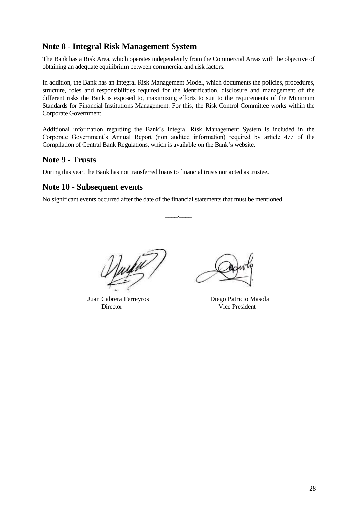## **Note 8 - Integral Risk Management System**

The Bank has a Risk Area, which operates independently from the Commercial Areas with the objective of obtaining an adequate equilibrium between commercial and risk factors.

In addition, the Bank has an Integral Risk Management Model, which documents the policies, procedures, structure, roles and responsibilities required for the identification, disclosure and management of the different risks the Bank is exposed to, maximizing efforts to suit to the requirements of the Minimum Standards for Financial Institutions Management. For this, the Risk Control Committee works within the Corporate Government.

Additional information regarding the Bank's Integral Risk Management System is included in the Corporate Government's Annual Report (non audited information) required by article 477 of the Compilation of Central Bank Regulations, which is available on the Bank's website.

 $\overline{\phantom{a}}$  .  $\overline{\phantom{a}}$ 

## **Note 9 - Trusts**

During this year, the Bank has not transferred loans to financial trusts nor acted as trustee.

## **Note 10 - Subsequent events**

No significant events occurred after the date of the financial statements that must be mentioned.

Juan Cabrera Ferreyros Diego Patricio Masola Director Vice President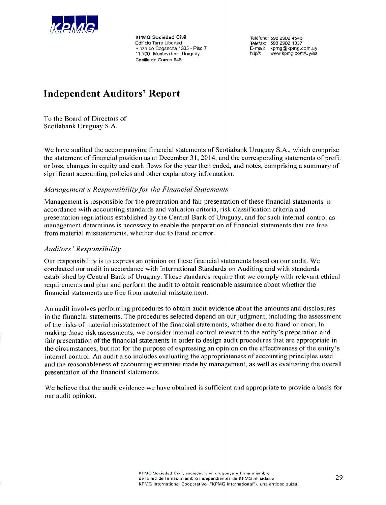

**KPMG Sociedad Civil** Edificio Torre Libertad Plaza de Cagancha 1335 - Piso 7 11.100 Montevideo - Uruguay Casilla de Correo 646

Teléfono: 598 2902 4546 Telefax: 598 2902 1337 E-mail: kpmg@kpmg.com.uy http//: www.kpmg.com/Uy/es

# **Independent Auditors' Report**

To the Board of Directors of Scotiabank Uruguay S.A.

We have audited the accompanying financial statements of Scotiabank Uruguay S.A., which comprise the statement of financial position as at December 31, 2014, and the corresponding statements of profit or loss, changes in equity and cash flows for the year then ended, and notes, comprising a summary of significant accounting policies and other explanatory information.

#### Management's Responsibility for the Financial Statements

Management is responsible for the preparation and fair presentation of these financial statements in accordance with accounting standards and valuation criteria, risk classification criteria and presentation regulations established by the Central Bank of Uruguay, and for such internal control as management determines is necessary to enable the preparation of financial statements that are free from material misstatements, whether due to fraud or error.

#### **Auditors' Responsibility**

Our responsibility is to express an opinion on these financial statements based on our audit. We conducted our audit in accordance with International Standards on Auditing and with standards established by Central Bank of Uruguay. Those standards require that we comply with relevant ethical requirements and plan and perform the audit to obtain reasonable assurance about whether the financial statements are free from material misstatement.

An audit involves performing procedures to obtain audit evidence about the amounts and disclosures in the financial statements. The procedures selected depend on our judgment, including the assessment of the risks of material misstatement of the financial statements, whether due to fraud or error. In making those risk assessments, we consider internal control relevant to the entity's preparation and fair presentation of the financial statements in order to design audit procedures that are appropriate in the circumstances, but not for the purpose of expressing an opinion on the effectiveness of the entity's internal control. An audit also includes evaluating the appropriateness of accounting principles used and the reasonableness of accounting estimates made by management, as well as evaluating the overall presentation of the financial statements.

We believe that the audit evidence we have obtained is sufficient and appropriate to provide a basis for our audit opinion.